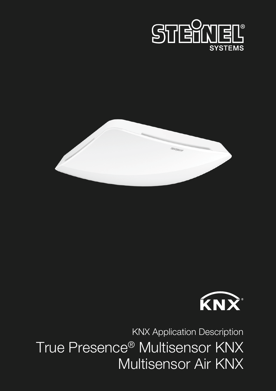





True Presence® Multisensor KNX Multisensor Air KNX KNX Application Description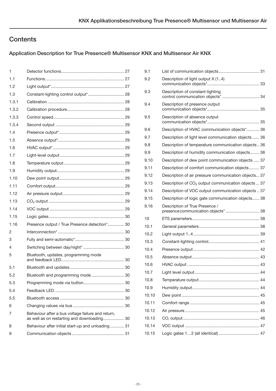# **Contents**

# Application Description for True Presence® Multisensor KNX and Multisensor Air KNX

| 1     |                                                                                                  |  |
|-------|--------------------------------------------------------------------------------------------------|--|
| 1.1   |                                                                                                  |  |
| 1.2   |                                                                                                  |  |
| 1.3   |                                                                                                  |  |
| 1.3.1 |                                                                                                  |  |
| 1.3.2 |                                                                                                  |  |
| 1.3.3 |                                                                                                  |  |
| 1.3.4 |                                                                                                  |  |
| 1.4   |                                                                                                  |  |
| 1.5   |                                                                                                  |  |
| 1.6   |                                                                                                  |  |
| 1.7   |                                                                                                  |  |
| 1.8   |                                                                                                  |  |
| 1.9   |                                                                                                  |  |
| 1.10  |                                                                                                  |  |
| 1.11  |                                                                                                  |  |
| 1.12  |                                                                                                  |  |
| 1.13  |                                                                                                  |  |
| 1.14  |                                                                                                  |  |
| 1.15  |                                                                                                  |  |
| 1.16  | Presence output / True Presence detection* 30                                                    |  |
| 2     |                                                                                                  |  |
| 3     |                                                                                                  |  |
| 4     |                                                                                                  |  |
| 5     | Bluetooth, updates, programming mode                                                             |  |
| 5.1   |                                                                                                  |  |
| 5.2   | Bluetooth and programming mode  30                                                               |  |
| 5.3   |                                                                                                  |  |
| 5.4   |                                                                                                  |  |
| 5.5   |                                                                                                  |  |
| 6     |                                                                                                  |  |
| 7     | Behaviour after a bus voltage failure and return,<br>as well as on restarting and downloading 30 |  |
| 8     | Behaviour after initial start-up and unloading 31                                                |  |
| 9     |                                                                                                  |  |
|       |                                                                                                  |  |

| 9.1   |                                                                        |
|-------|------------------------------------------------------------------------|
| 9.2   | Description of light output X (14)                                     |
| 9.3   | Description of constant-lighting<br>control communication objects*  34 |
| 9.4   | Description of presence output                                         |
| 9.5   | Description of absence output                                          |
| 9.6   | Description of HVAC communication objects* 36                          |
| 9.7   | Description of light level communication objects  36                   |
| 9.8   | Description of temperature communication objects 36                    |
| 9.9   | Description of humidity communication objects 36                       |
| 9.10  | Description of dew point communication objects  37                     |
| 9.11  | Description of comfort communication objects 37                        |
| 9.12  | Description of air pressure communication objects 37                   |
| 9.13  | Description of CO <sub>2</sub> output communication objects  37        |
| 9.14  | Description of VOC output communication objects  37                    |
| 9.15  | Description of logic gate communication objects 38                     |
|       |                                                                        |
| 9.16  | Description of True Presence /<br>presence communication objects*  38  |
| 10    |                                                                        |
| 10.1  |                                                                        |
| 10.2  |                                                                        |
| 10.3  |                                                                        |
| 10.4  |                                                                        |
| 10.5  |                                                                        |
| 10.6  |                                                                        |
| 10.7  |                                                                        |
| 10.8  |                                                                        |
| 10.9  |                                                                        |
| 10.10 |                                                                        |
| 10.11 |                                                                        |
| 10.12 |                                                                        |
| 10.13 |                                                                        |
| 10.14 |                                                                        |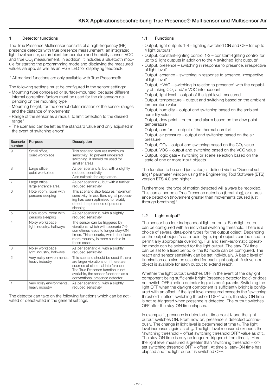### <span id="page-2-0"></span>Detector functions

The True Presence Multisensor consists of a high-frequency (HF) presence detector with true presence measurement, an integrated light level sensor, an ambient temperature and humidity sensor, VOC and true CO₂ measurement. In addition, it includes a Bluetooth module for starting the programming mode and displaying the measured values via app, as well as an RGB LED for displaying feedback.

\* All marked functions are only available with True Presence®.

The following settings must be configured in the sensor settings:

- Mounting type concealed or surface-mounted, because different internal correction factors must be used for the air sensors depending on the mounting type
- Mounting height, for the correct determination of the sensor ranges and the distance of movements\*
- Range of the sensor as a radius, to limit detection to the desired range<sup>\*</sup>
- The scenario can be left as the standard value and only adjusted in the event of switching errors\*

| Scenario<br>number | Purpose                                      | Description                                                                                                                                                                                                                           |
|--------------------|----------------------------------------------|---------------------------------------------------------------------------------------------------------------------------------------------------------------------------------------------------------------------------------------|
| 9                  | Small office,<br>quiet workplace             | This scenario features maximum<br>sensitivity. To prevent undesired<br>switching, it should be used for<br>smaller areas.                                                                                                             |
| 8                  | Large office,<br>quiet workplace             | As per scenario 9, but with a slightly<br>reduced sensitivity.<br>Also suitable for large areas.                                                                                                                                      |
| $\overline{7}$     | Large office,<br>large entrance area         | As per scenario 8, but with a further<br>reduced sensitivity.                                                                                                                                                                         |
| 6                  | Hotel room, room with<br>persons sleeping    | This scenario also features maximum<br>sensitivity. In addition, signal process-<br>ing has been optimised to reliably<br>detect the presence of persons<br>sleeping.                                                                 |
| 5                  | Hotel room, room with<br>persons sleeping    | As per scenario 6, with a slightly<br>reduced sensitivity.                                                                                                                                                                            |
| $\overline{4}$     | Noisy workspace,<br>light industry, hallways | The sensor can be triggered by<br>vibrations, which with scenario 7-9<br>sometimes leads to longer stay-ON<br>times. This scenario, which functions<br>more robustly, is more suitable in<br>these cases.                             |
| 3                  | Noisy workspace,<br>light industry, hallways | As per scenario 4, with a slightly<br>reduced sensitivity.                                                                                                                                                                            |
| $\overline{2}$     | Very noisy environments,<br>heavy industry   | This scenario should be used if there<br>are larger vibrations or if there are<br>sources of electrical interference.<br>The True Presence function is not<br>available, the sensor functions as a<br>conventional presence detector. |
| $\mathbf{1}$       | Very noisy environments,<br>heavy industry   | As per scenario 2, with a slightly<br>reduced sensitivity.                                                                                                                                                                            |

The detector can take on the following functions which can be activated or deactivated in the general settings:

## 1.1 Functions

- Output, light outputs 1-4 lighting switched ON and OFF for up to 4 light outputs<sup>\*</sup>
- Output, constant-lighting control 1-2 constant-lighting control for up to 2 light outputs in addition to the 4 switched light outputs\*
- Output, presence switching in response to presence, irrespective of light level\*
- Output, absence switching in response to absence, irrespective of light level\*
- Output, HVAC switching in relation to presence\* with the capability of taking CO₂ and/or VOC into account
- Output, light level output of the light level measured
- Output, temperature output and switching based on the ambient temperature value
- Output, humidity output and switching based on the ambient humidity value
- Output, dew point output and alarm based on the dew point temperature
- Output, comfort output of the thermal comfort
- Output, air pressure output and switching based on the air pressure
- Output,  $CO<sub>2</sub>$  output and switching based on the  $CO<sub>2</sub>$  value
- Output, VOC output and switching based on the VOC value
- Output, logic gate switching or scene selection based on the state of one or more input objects

The function to be used (activated) is defined via the "General settings" parameter window using the Engineering Tool Software (ETS) version ETS 4.0 and higher.

Furthermore, the type of motion detected will always be recorded. This can either be a True Presence detection (breathing), or a presence detection (movement greater than movements caused just through breathing).\*

## 1.2 Light output\*

The sensor has four independent light outputs. Each light output can be configured with an individual switching threshold. There is a choice of several data-point types for the output object. Depending on the output object's data-point type, input objects can be used to permit any appropriate overriding. Full and semi-automatic operating mode can be selected for the light output. The stay-ON time can be set to a fixed period or the IQ mode can be configured. The reach and sensor sensitivity can be set individually. A basic level of illumination can also be selected for each light output. A slave input object is available for each output to extend reach.

Whether the light output switches OFF in the event of the daylight component being sufficiently bright (presence detector logic) or does not switch OFF (motion detector logic) is configurable. Switching the light OFF when the daylight component is sufficiently bright is configured with an offset. If the light level measured exceeds the "switching threshold + offset switching threshold OFF" value, the stay-ON time is not re-triggered when presence is detected. The output switches OFF after the stay-ON time elapses.

In example 1, presence is detected at time point  $t_1$  and the light output switches ON. From now on, presence is detected continuously. The change in light level is determined at time t₂. The light level increases again as of t<sub>3</sub>. The light level measured exceeds the "switching threshold + offset switching threshold OFF" value as of  $t_4$ . The stay-ON time is only no longer re-triggered from time  $t_5$ . Here, the light level measured is greater than "switching threshold  $+$  offset switching threshold OFF + offset". At time  $t_6$ , stay-ON time has elapsed and the light output is switched OFF.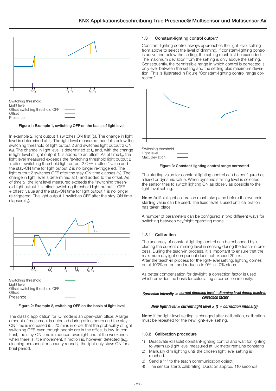<span id="page-3-0"></span>

### Figure 1: Example 1, switching OFF on the basis of light level

In example 2, light output 1 switches ON first  $(t<sub>1</sub>)$ . The change in light level is determined at t<sub>2</sub>. The light level measured then falls below the switching threshold of light output 2 and switches light output 2 ON  $(t<sub>3</sub>)$ . The change in light level is determined at  $t<sub>4</sub>$  and, with the change in light level of light output 1, is added to an offset. As of time  $t_5$ , the light level measured exceeds the "switching threshold light output 2 + offset switching threshold light output 2 OFF + offset" value and the stay-ON time for light output 2 is no longer re-triggered. The light output 2 switches OFF after the stay-ON time elapses  $(t_6)$ . The change in light level is determined at  $t<sub>z</sub>$  and added to the offset. As of time t<sub>8</sub>, the light level measured exceeds the "switching threshold light output 1 + offset switching threshold light output 1 OFF + offset" value and the stay-ON time for light output 1 is no longer re-triggered. The light output 1 switches OFF after the stay-ON time elapses  $(t_{\rm s})$ .



#### Figure 2: Example 2, switching OFF on the basis of light level

The classic application for IQ mode is an open-plan office. A large amount of movement is detected during office hours and the stay-ON time is increased (5...20 min), in order that the probability of light switching OFF, even though people are in the office, is low. In contrast, the stay-ON time is reduced overnight and at the weekends when there is little movement. If motion is, however, detected (e.g. cleaning personnel or security rounds), the light only stays ON for a brief period.

#### 1.3 Constant-lighting control output\*

Constant-lighting control always approaches the light-level setting from above to select the level of dimming. If constant-lighting control is active and below the setting, the setting must first be exceeded. The maximum deviation from the setting is only above the setting. Consequently, the permissible range in which control is corrected is only ever between the setting and the setting plus maximum deviation. This is illustrated in Figure "Constant-lighting control range corrected".



Switching threshold Light level Max. deviation

#### Figure 3: Constant-lighting control range corrected

The starting value for constant-lighting control can be configured as a fixed or dynamic value. When dynamic starting level is selected, the sensor tries to switch lighting ON as closely as possible to the light-level setting.

Note: Artificial light calibration must take place before the dynamic starting value can be used. The fixed level is used until calibration has taken place.

A number of parameters can be configured in two different ways for switching between day/night operating mode.

### 1.3.1 Calibration

The accuracy of constant-lighting control can be enhanced by including the current dimming level in sensing during the teach-in process. During the teach-in process, it is important to ensure that the maximum daylight component does not exceed 20 lux. After the teach-in process for the light-level setting, lighting comes on at 100% output and reduces to 0% in 10% steps.

As better compensation for daylight, a correction factor is used which provides the basis for calculating a correction intensity:

### Correction intensity = current dimming level − dimming level during teach-in correction factor

### New light level = current light level  $\times$  (1 + correction intensity)

Note: If the light-level setting is changed after calibration, calibration must be repeated for the new light-level setting.

#### 1.3.2 Calibration procedure

- 1) Deactivate (disable) constant-lighting control and wait for lighting to warm up (light level measured at lux meter remains constant)
- 2) Manually dim lighting until the chosen light level setting is reached.
- 3) Send a "1" to the teach communication object.
- 4) The sensor starts calibrating. Duration approx. 110 seconds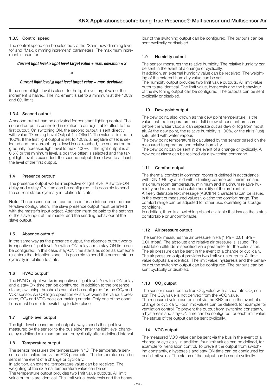### <span id="page-4-0"></span>1.3.3 Control speed

The control speed can be selected via the "Send new dimming level to" and "Max. dimming increment" parameters. The maximum increment is used for

### Current light level  $\geq$  light level target value + max. deviation  $\times$  2

or

#### Current light level ≤ light level target value − max. deviation.

If the current light level is closer to the light-level target value, the increment is halved. The increment is set to a minimum at the 100% and 0% limits.

### 1.3.4 Second output

A second output can be activated for constant-lighting control. The second output is controlled in relation to an adjustable offset to the first output. On switching ON, the second output is sent directly with value "Dimming Level Output 1 + Offset". The value is limited to 100%. If the first light output is set to 100%, a negative offset is selected and the current target level is not reached, the second output gradually increases light level to max. 100%. If the light output is at 0.5% or the minimum level, a positive offset is selected and the target light level is exceeded, the second output dims down to at least the level of the first output.

### 1.4 Presence output\*

The presence output works irrespective of light level. A switch-ON delay and a stay-ON time can be configured. It is possible to send the current status cyclically in relation to state.

Note: The presence output can be used for an interconnected master/slave configuration. The slave presence output must be linked with the master's input object. Attention must be paid to the settings of the slave input at the master and the sending behaviour of the slave output.

### 1.5 Absence output\*

In the same way as the presence output, the absence output works irrespective of light level. A switch-ON delay and a stay-ON time can be configured. In this case, stay-ON time starts as soon as someone re-enters the detection zone. It is possible to send the current status cyclically in relation to state.

### 1.6 HVAC output\*

The HVAC output works irrespective of light level. A switch-ON delay and a stay-ON time can be configured. In addition to the presence status, switching thresholds can also be configured for the  $CO<sub>2</sub>$  and VOC sensor. An OR logic operation exists between the various presence, CO<sub>2</sub> and VOC decision-making criteria. Only one of the conditions must be met for switching to take place.

## 1.7 Light-level output

The light-level measurement output always sends the light level measured by the sensor to the bus either after the light level changes by a defined minimum amount or cyclically after a defined interval.

### 1.8 Temperature output

The sensor measures the temperature in °C. The temperature sensor can be calibrated via an ETS parameter. The temperature can be sent in the event of a change or cyclically.

In addition, an external temperature value can be received. The weighting of the external temperature value can be set. The temperature output provides two limit value outputs. All limit value outputs are identical. The limit value, hysteresis and the behav-

iour of the switching output can be configured. The outputs can be sent cyclically or disabled.

### 1.9 Humidity output

The sensor measures the relative humidity. The relative humidity can be sent in the event of a change or cyclically.

In addition, an external humidity value can be received. The weighting of the external humidity value can be set.

The humidity output provides two limit value outputs. All limit value outputs are identical. The limit value, hysteresis and the behaviour of the switching output can be configured. The outputs can be sent cyclically or disabled.

### 1.10 Dew point output

The dew point, also known as the dew point temperature, is the value that the temperature must fall below at constant pressure before the water vapour can separate out as dew or fog from moist air. At the dew point, the relative humidity is 100%, or the air is (just) saturated with water vapour.

The dew point temperature is calculated by the sensor based on the measured temperature and relative humidity.

The dew point can be sent in the event of a change or cyclically. A dew point alarm can be realized via a switching command.

### 1.11 Comfort output

The thermal comfort in common rooms is defined in accordance with DIN 1946 by a field with 5 limiting parameters: minimum and maximum room temperature, minimum and maximum relative humidity and maximum absolute humidity of the ambient air. A freely definable text message (ASCII 14 characters) can be issued in the event of measured values violating the comfort range. The comfort range can be adjusted for other use, operating or storage conditions.

In addition, there is a switching object available that issues the status comfortable or uncomfortable.

### 1.12 Air pressure output

The sensor measures the air pressure in Pa  $(1$  Pa = 0.01 hPa = 0.01 mbar). The absolute and relative air pressure is issued. The installation altitude is specified via a parameter for the calculation. The air pressure can be sent in the event of a change or cyclically. The air pressure output provides two limit value outputs. All limit value outputs are identical. The limit value, hysteresis and the behaviour of the switching output can be configured. The outputs can be sent cyclically or disabled.

## 1.13 CO₂ output

The sensor measures the true CO<sub>2</sub> value with a separate CO<sub>2</sub> sensor. The CO<sub>2</sub> value is not derived from the VOC value. The measured value can be sent via the KNX bus in the event of a change or cyclically. Four limit values can be defined, for example for ventilation control. To prevent the output from switching constantly, a hysteresis and stay-ON time can be configured for each limit value. The status of the output can be sent cyclically.

### 1.14 VOC output

The measured VOC value can be sent via the bus in the event of a change or cyclically. In addition, four limit values can be defined, for example for ventilation control. To prevent the output from switching constantly, a hysteresis and stay-ON time can be configured for each limit value. The status of the output can be sent cyclically.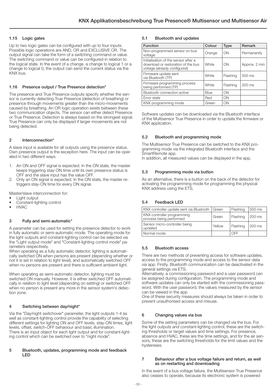### <span id="page-5-0"></span>1.15 Logic gates

Up to two logic gates can be configured with up to four inputs. Possible logic operations are AND, OR and EXCLUSIVE OR. The output signal can take the form of a switching command or value. The switching command or value can be configured in relation to the logical state. In the event of a change. a change to logical 1 or a change to logical 0, the output can send the current status via the KNX bus.

### 1.16 Presence output / True Presence detection\*

The presence and True Presence outputs specify whether the sensor is currently detecting True Presence (detection of breathing) or presence through movements greater than the micro-movements caused by breathing. An OR logic operation exists between these two communication objects. The sensor can either detect Presence or True Presence. Detection is always based on the strongest signal. True Presence can only be displayed if larger movements are not being detected.

### 2 Interconnection\*

A slave input is available for all outputs using the presence status. Own presence output is the exception here. The input can be operated in two different ways.

- 1. An ON and OFF signal is expected. In the ON state, the master keeps triggering stay-ON time until its own presence status is OFF and the slave input has the value OFF.
- 2. Only an ON signal is expected. In the ON state, the master retriggers stay-ON time for every ON signal.

Master/slave interconnection for:

- Light output
- Constant-lighting control
- HVAC

### 3 Fully and semi-automatic\*

A parameter can be used for setting the presence detector to work in fully automatic or semi-automatic mode. The operating mode for the light outputs and constant-lighting control can be selected via the "Light output mode" and "Constant-lighting control mode" parameters respectively.

When operating as a fully automatic detector, lighting is automatically switched ON when persons are present (depending whether or not it is set in relation to light level), and automatically switched OFF when no persons are present and there is sufficient ambient light.

When operating as semi-automatic detector, lighting must be switched ON manually. However, it is either switched OFF automatically in relation to light level (depending on setting) or switched OFF when no person is present any more in the sensor system's detection zone.

### 4 Switching between day/night\*

Via the "Day/night switchover" parameter, the light outputs 1-4 as well as constant-lighting control provide the capability of selecting different settings for lighting ON and OFF levels, stay-ON times, light levels, offset, switch-OFF behaviour and basic illumination. There is an input object for each light output and for constant-lighting control which can be switched over to "night mode".

#### 5 Bluetooth, updates, programming mode and feedback LED

## 5.1 Bluetooth and updates

| <b>Function</b>                                                                                            | Colour | <b>Type</b> | Remark        |
|------------------------------------------------------------------------------------------------------------|--------|-------------|---------------|
| Non-programmed sensor on bus<br>voltage                                                                    | Orange | ON          | Permanently   |
| Initialisation of the sensor after a<br>download or restoration of the bus<br>voltage (already configured) | White  | ON          | Approx. 2 min |
| Firmware update sent<br>via Bluetooth (TP)                                                                 | White  | Flashing    | 500 ms        |
| Firmware programming process<br>being performed (TP)                                                       | White  | Flashing    | $200$ ms      |
| Bluetooth connection active                                                                                | Blue   | ON          |               |
| Error state                                                                                                | Red    | ON          |               |
| KNX programming mode                                                                                       | Green  | ON          |               |

Software updates can be downloaded via the Bluetooth interface of the Multisensor True Presence in order to update the firmware or KNX application.

### 5.2 Bluetooth and programming mode

The Multisensor True Presence can be switched to the KNX programming mode via the integrated Bluetooth interface and the SmartRemote app.

In addition, all measured values can be displayed in the app.

### 5.3 Programming mode via button

As an alternative, there is a button on the back of the detector for activating the programming mode for programming the physical KNX address using the ETS.

## 5.4 Feedback LED

| KNX controller update sent via Bluetooth   Green      |        | Flashing | 1500 ms |
|-------------------------------------------------------|--------|----------|---------|
| KNX controller programming<br>process being performed | Green  | Flashing | 200 ms  |
| Sensor micro-controller being<br>updated              | Yellow | Flashing | 200 ms  |
| Normal mode                                           |        | OFF      |         |

### 5.5 Bluetooth access

There are two methods of preventing access for software updates, access to the programming mode and access to the sensor data via app. Firstly, Bluetooth communication can be deactivated in the general settings via ETS.

Alternatively, a commissioning password and a user password can be assigned during configuration. The programming mode and software updates can only be started with the commissioning password. With the user password, the values measured by the sensor can be viewed in the app

One of these security measures should always be taken in order to prevent unauthorised access and misuse.

### 6 Changing values via bus

Some of the setting parameters can be changed via the bus. For the light outputs and constant-lighting control, these are the switching thresholds or target values and time settings. For presence, absence and HVAC, these are the time settings, and for the air sensors, these are the switching thresholds for the limit values and the hystereses.

#### 7 Behaviour after a bus voltage failure and return, as well as on restarting and downloading

In the event of a bus voltage failure, the Multisensor True Presence also ceases to operate, because its electronic system is powered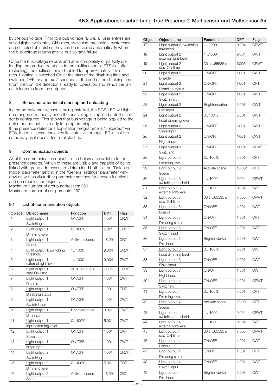<span id="page-6-0"></span>by the bus voltage. Prior to a bus voltage failure, all user entries are saved (light levels, stay-ON times, switching thresholds, hystereses and disabled objects) so they can be restored automatically when the bus voltage returns after a bus voltage failure.

Once the bus voltage returns and after completely or partially uploading the product database to the multisensor via ETS (i.e. after restarting), the multisensor is disabled for approximately 2 minutes. Lighting is switched ON at the start of the disabling time and switched OFF for approx. 2 seconds at the end of the disabling time. From then on, the detector is ready for operation and sends the latest telegrams from the outputs.

## 8 Behaviour after initial start-up and unloading

If a brand-new multisensor is being installed, the RGB LED will light up orange permanently once the bus voltage is applied until the sensor is configured. This shows that bus voltage is being applied to the detector and that it is ready for programming.

If the presence detector's application programme is "unloaded" via ETS, the multisensor indicates its status via orange LED in just the same way as it does after initial start-up.

## 9 Communication objects

All of the communication objects listed below are available to the presence detector. Which of these are visible and capable of being linked with group addresses are determined both via the "Detector mode" parameter setting in the "General settings" parameter window as well as via further parameter settings for chosen functions and communication objects.

Maximum number of group addresses: 250 Maximum number of assignments: 250

## 9.1 List of communication objects

| Object         | Object name                            | <b>Function</b> | <b>DPT</b> | Flag        |
|----------------|----------------------------------------|-----------------|------------|-------------|
| 1              | Light output 1                         | ON/OFF          | 1.001      | <b>CRWT</b> |
|                | Switching                              |                 |            |             |
| $\overline{2}$ | Light output 1                         | $0100\%$        | 5.001      | <b>CRT</b>  |
|                | Dimming level                          |                 |            |             |
| 3              | Light output 1                         | Activate scene  | 18.001     | <b>CRT</b>  |
|                | Scene                                  |                 |            |             |
| $\overline{4}$ | Light output 1, switching<br>threshold | 11000           | 9.004      | <b>CRWT</b> |
| 5              | Light output 1<br>external light-level | 11000           | 9.004      | <b>CWT</b>  |
| 6              | Light output 1<br>stay-ON time         | 30 s65535 s     | 7.005      | <b>CRWT</b> |
| $\overline{7}$ | Light output 1                         | ON/OFF          | 1.001      | <b>CWT</b>  |
|                | Disable                                |                 |            |             |
| 8              | Light output 1                         | ON/OFF          | 1.001      | <b>CRT</b>  |
|                | Disabling status                       |                 |            |             |
| 9              | Light output 1                         | ON/OFF          | 1.001      | <b>CWT</b>  |
|                | Switch input                           |                 |            |             |
| 10             | Light output 1                         | Brighter/darker | 3.007      | <b>CWT</b>  |
|                | Dim input                              |                 |            |             |
| 11             | Light output 1                         | $0100\%$        | 5.001      | <b>CWT</b>  |
|                | Input dimming level                    |                 |            |             |
| 12             | Light output 1                         | ON/OFF          | 1.001      | <b>CWT</b>  |
|                | Slave input                            |                 |            |             |
| 13             | Light output 1                         | ON/OFF          | 1.001      | <b>CWT</b>  |
|                | Night input                            |                 |            |             |
| 14             | Light output 2                         | ON/OFF          | 1.001      | <b>CRWT</b> |
|                | Switching                              |                 |            |             |
| 15             | Light output 2                         | $0100\%$        | 5.001      | <b>CRT</b>  |
|                | Dimming level                          |                 |            |             |
| 16             | Light output 2                         | Activate scene  | 18.001     | <b>CRT</b>  |
|                | Scene                                  |                 |            |             |

| Object | Object name                            | Function        | <b>DPT</b> | Flag        |
|--------|----------------------------------------|-----------------|------------|-------------|
| 17     | Light output 2, switching<br>threshold | 11000           | 9.004      | <b>CRWT</b> |
| 18     | Light output 2<br>external light-level | 11000           | 9.004      | <b>CWT</b>  |
| 19     | Light output 2<br>stay-ON time         | 30 s65535 s     | 7.005      | <b>CRWT</b> |
| 20     | Light output 2<br><b>Disable</b>       | ON/OFF          | 1.001      | <b>CWT</b>  |
| 21     | Light output 2                         | ON/OFF          | 1.001      | <b>CRT</b>  |
| 22     | Disabling status<br>Light output 2     | ON/OFF          | 1.001      | <b>CWT</b>  |
| 23     | Switch input<br>Light output 2         | Brighter/darker | 3.007      | <b>CWT</b>  |
|        | Dim input                              |                 |            |             |
| 24     | Light output 2                         | $0100\%$        | 5.001      | <b>CWT</b>  |
|        | Input dimming level                    |                 |            |             |
| 25     | Light output 2                         | ON/OFF          | 1.001      | <b>CWT</b>  |
|        | Slave input                            |                 |            |             |
| 26     | Light output 2                         | ON/OFF          | 1.001      | <b>CWT</b>  |
|        | Night input                            |                 |            |             |
| 27     | Light output 3                         | ON/OFF          | 1.001      | <b>CRWT</b> |
|        | Switching                              |                 |            |             |
| 28     | Light output 3                         | $0100\%$        | 5.001      | <b>CRT</b>  |
|        | Dimming level                          |                 |            |             |
| 29     | Light output 3                         | Activate scene  | 18.001     | <b>CRT</b>  |
|        | Scene                                  |                 |            |             |
| 30     | Light output 3<br>switching threshold  | 11000           | 9.004      | <b>CRWT</b> |
| 31     | Light output 3<br>external light-level | 11000           | 9.004      | <b>CWT</b>  |
| 32     | Light output 3<br>stay-ON time         | 30 s65535 s     | 7.005      | <b>CRWT</b> |
| 33     | Light output 3                         | ON/OFF          | 1.001      | <b>CWT</b>  |
|        | Disable                                |                 |            |             |
| 34     | Light output 3<br>Disabling status     | ON/OFF          | 1.001      | <b>CRT</b>  |
| 35     | Light output 3                         | ON/OFF          | 1.001      | <b>CWT</b>  |
|        | Switch input                           |                 |            |             |
| 36     | Light output 3                         | Brighter/darker | 3.007      | <b>CWT</b>  |
|        | Dim input                              |                 |            |             |
| 37     | Light output 3                         | $0100\%$        | 5.001      | <b>CWT</b>  |
|        | Input dimming level                    |                 |            |             |
| 38     | Light output 3                         | ON/OFF          | 1.001      | <b>CWT</b>  |
|        | Slave input                            |                 |            |             |
| 39     | Light output 3                         | ON/OFF          | 1.001      | <b>CWT</b>  |
|        | Night input                            |                 |            |             |
| 40     | Light output 4                         | ON/OFF          | 1.001      | <b>CRWT</b> |
|        | Switching                              |                 |            |             |
| 41     | Light output 4                         | $0100\%$        | 5.001      | <b>CRT</b>  |
|        | Dimming level                          |                 |            |             |
| 42     | Light output 4                         | Activate scene  | 18.001     | <b>CRT</b>  |
| 43     | Scene<br>Light output 4                | 11000           | 9.004      | <b>CRWT</b> |
|        | switching threshold                    |                 |            |             |
| 44     | Light output 4<br>external light-level | 11000           | 9.004      | <b>CWT</b>  |
| 45     | Light output 4<br>stay-ON time         | 30 s65535 s     | 7.005      | <b>CRWT</b> |
| 46     | Light output 4                         | ON/OFF          | 1.001      | <b>CWT</b>  |
|        | <b>Disable</b>                         |                 |            |             |
| 47     | Light output 4                         | ON/OFF          | 1.001      | <b>CRT</b>  |
|        | Disabling status                       |                 |            |             |
| 48     | Light output 4                         | ON/OFF          | 1.001      | <b>CWT</b>  |
|        | Switch input                           |                 |            |             |
| 49     | Light output 4                         | Brighter/darker | 3.007      | <b>CWT</b>  |
|        | Dim input                              |                 |            |             |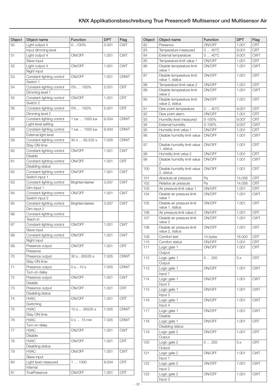| Object | Object name                                   | <b>Function</b> | <b>DPT</b> | Flag        |
|--------|-----------------------------------------------|-----------------|------------|-------------|
| 50     | Light output 4                                | $0100\%$        | 5.001      | <b>CWT</b>  |
|        | Input dimming level                           |                 |            |             |
| 51     | Light output 4                                | ON/OFF          | 1.001      | <b>CWT</b>  |
|        | Slave input                                   |                 |            |             |
| 52     | Light output 4                                | ON/OFF          | 1.001      | <b>CWT</b>  |
|        | Night input                                   |                 |            |             |
| 53     | Constant-lighting control                     | ON/OFF          | 1.001      | <b>CRWT</b> |
|        | Switch 1                                      |                 |            |             |
| 54     | Constant-lighting control                     | 0%  100%        | 5.001      | <b>CRT</b>  |
|        | Dimming level 1                               |                 |            |             |
| 55     | Constant-lighting control                     | ON/OFF          | 1.001      | <b>CRT</b>  |
|        | Switch 2                                      |                 |            |             |
| 56     | Constant-lighting control                     | 0%  100%        | 5.001      | <b>CRT</b>  |
|        | Dimming level 2                               |                 |            |             |
| 57     | Constant-lighting control                     | 1 lux  1000 lux | 9.004      | <b>CRWT</b> |
|        | Light-level setting                           |                 |            |             |
| 58     | Constant-lighting control                     | 1 lux  1000 lux | 9.004      | <b>CRWT</b> |
|        | External light level                          |                 |            |             |
| 59     | Constant-lighting control                     | 30 s  65,535 s  | 7.005      | <b>CRWT</b> |
|        | Stay-ON time                                  |                 |            |             |
| 60     | Constant-lighting control                     | ON/OFF          | 1.001      | <b>CWT</b>  |
|        | <b>Disable</b>                                |                 |            |             |
| 61     | Constant-lighting control                     | ON/OFF          | 1.001      | <b>CRT</b>  |
| 62     | Disabling status<br>Constant-lighting control | ON/OFF          | 1.001      | <b>CWT</b>  |
|        | Switch input 1                                |                 |            |             |
| 63     | Constant-lighting control                     | Brighter/darker | 3.007      | <b>CWT</b>  |
|        | Dim input 1                                   |                 |            |             |
| 64     | Constant-lighting control                     | ON/OFF          | 1.001      | <b>CWT</b>  |
|        | Switch input 2                                |                 |            |             |
| 65     | Constant-lighting control                     | Brighter/darker | 3.007      | <b>CWT</b>  |
|        | Dim input 2                                   |                 |            |             |
| 66     | Constant-lighting control                     |                 |            |             |
|        | Teach-in                                      |                 |            |             |
| 67     | Constant-lighting control                     | ON/OFF<br>1.001 |            | <b>CWT</b>  |
|        | Slave input                                   |                 |            |             |
| 68     | Constant-lighting control                     | ON/OFF          | 1.001      | <b>CWT</b>  |
|        | Night input                                   |                 |            |             |
| 69     | Presence output                               | ON/OFF          | 1.001      | <b>CRT</b>  |
|        | Presence                                      |                 |            |             |
| 70     | Presence output                               | 30 s65535 s     | 7.005      | <b>CRWT</b> |
|        | Stay-ON time                                  |                 |            |             |
| 71     | Presence output                               | 0 s 10 s        | 7.005      | <b>CRWT</b> |
|        | Turn-on delay                                 |                 |            |             |
| 72     | Presence output                               | ON/OFF          | 1.001      | <b>CWT</b>  |
|        | Disable                                       |                 |            |             |
| 73     | Presence output                               | ON/OFF          | 1.001      | <b>CRT</b>  |
|        | Disabling status                              |                 |            |             |
| 74     | <b>HVAC</b>                                   | ON/OFF          | 1.001      | <b>CRT</b>  |
|        | Switching                                     |                 |            |             |
| 75     | <b>HVAC</b><br>Stay-ON time                   | 10 s  65535 s   | 7.005      | <b>CRWT</b> |
| 76     | <b>HVAC</b>                                   | 0 s  15 min     | 7.005      | <b>CRWT</b> |
|        | Turn-on delay                                 |                 |            |             |
| 77     | <b>HVAC</b>                                   | ON/OFF          | 1.001      | <b>CWT</b>  |
|        | Disable                                       |                 |            |             |
| 78     | <b>HVAC</b>                                   | ON/OFF          | 1.001      | <b>CRT</b>  |
|        | Disabling status                              |                 |            |             |
| 79     | <b>HVAC</b>                                   | ON/OFF          | 1.001      | <b>CWT</b>  |
|        | Slave input                                   |                 |            |             |
| 80     | Light level measured                          | 11000           | 9.004      | <b>CRT</b>  |
|        | Internal                                      |                 |            |             |
| 81     | <b>TruePresence</b>                           | ON/OFF          | 1.001      | <b>CRT</b>  |

| Object | Object name                                  | <b>Function</b> | <b>DPT</b> | Flag       |
|--------|----------------------------------------------|-----------------|------------|------------|
| 82     | Presence                                     | ON/OFF          | 1.001      | <b>CRT</b> |
| 83     | Temperature measured                         | $040^{\circ}$ C | 9.001      | <b>CRT</b> |
| 84     | External temperature                         | $040^{\circ}C$  | 9.001      | <b>CWT</b> |
| 85     | Temperature limit value 1                    | ON/OFF          | 1.001      | <b>CRT</b> |
| 86     | Disable temperature limit                    | ON/OFF          | 1.001      | <b>CWT</b> |
|        | value 1                                      |                 |            |            |
| 87     | Disable temperature limit                    | ON/OFF          | 1.001      | <b>CRT</b> |
|        | value 1, status                              |                 |            |            |
| 88     | Temperature limit value 2                    | ON/OFF          | 1.001      | <b>CRT</b> |
| 89     | Disable temperature limit                    | ON/OFF          | 1.001      | <b>CWT</b> |
|        | value 2                                      |                 |            |            |
| 90     | Disable temperature limit<br>value 2, status | ON/OFF          | 1.001      | CRT        |
| 91     | Dew point temperature                        | $040^{\circ}C$  | 9.001      | <b>CRT</b> |
| 92     | Dew point alarm                              | ON/OFF          | 1.001      | CRT        |
| 93     | Humidity level measured                      | 0-100%          | 9.007      | <b>CRT</b> |
| 94     | <b>External humidity</b>                     | 0-100%          | 9.007      | <b>CWT</b> |
| 95     | Humidity limit value 1                       | ON/OFF          | 1.001      | <b>CRT</b> |
|        | Disable humidity limit value                 | ON/OFF          | 1.001      | <b>CWT</b> |
| 96     | 1                                            |                 |            |            |
| 97     | Disable humidity limit value                 | ON/OFF          | 1.001      | <b>CRT</b> |
|        | 1, status                                    |                 |            |            |
| 98     | Humidity limit value 2                       | ON/OFF          | 1.001      | <b>CRT</b> |
| 99     | Disable humidity limit value                 | ON/OFF          | 1.001      | <b>CWT</b> |
|        | 2                                            |                 |            |            |
| 100    | Disable humidity limit value                 | ON/OFF          | 1.001      | <b>CRT</b> |
|        | 2, status                                    |                 |            |            |
| 101    | Absolute air pressure                        | Pa              | 14.058     | <b>CRT</b> |
| 102    | Relative air pressure                        | Pa              | 14.058     | <b>CRT</b> |
| 103    | Air pressure limit value 1                   | ON/OFF          | 1.001      | <b>CRT</b> |
| 104    | Disable air pressure limit                   | ON/OFF          | 1.001      | <b>CWT</b> |
|        | value 1                                      |                 |            |            |
| 105    | Disable air pressure limit                   | ON/OFF          | 1.001      | <b>CRT</b> |
|        | value 1, status                              |                 |            |            |
| 106    | Air pressure limit value 2                   | ON/OFF          | 1.001      | <b>CRT</b> |
| 107    | Disable air pressure limit<br>value 2        | ON/OFF          | 1.001      | <b>CWT</b> |
| 108    | Disable air pressure limit                   | ON/OFF          | 1.001      | <b>CRT</b> |
|        | value 2, status                              |                 |            |            |
| 109    | Comfort text                                 | 14 bytes        | 16.000     | <b>CRT</b> |
| 110    | Comfort status                               | ON/OFF          | 1.001      | <b>CRT</b> |
| 111    | Logic gate 1                                 | ON/OFF          | 1.001      | <b>CRT</b> |
|        | Output                                       |                 |            |            |
| 112    | Logic gate 1                                 | 0255            | 5.x        | <b>CRT</b> |
|        | Output                                       |                 |            |            |
|        | Logic gate 1                                 | ON/OFF          | 1.001      | <b>CWT</b> |
| 113    | Input 1                                      |                 |            |            |
|        |                                              | ON/OFF          |            |            |
| 114    | Logic gate 1                                 |                 | 1.001      | <b>CWT</b> |
|        | Input 2                                      |                 |            |            |
| 115    | Logic gate 1                                 | ON/OFF          | 1.001      | <b>CWT</b> |
|        | Input 3                                      |                 |            |            |
| 116    | Logic gate 1                                 | ON/OFF          | 1.001      | <b>CWT</b> |
|        | Input 4                                      |                 |            |            |
| 117    | Logic gate 1                                 | ON/OFF          | 1.001      | <b>CWT</b> |
|        | <b>Disable</b>                               |                 |            |            |
| 118    | Logic gate 1                                 | ON/OFF          | 1.001      | <b>CRT</b> |
|        | Disabling status                             |                 |            |            |
| 119    | Logic gate 2                                 | ON/OFF          | 1.001      | <b>CRT</b> |
|        | Output                                       |                 |            |            |
| 120    | Logic gate 2                                 | 0255            | 5.x        | <b>CRT</b> |
|        | Output                                       |                 |            |            |
| 121    | Logic gate 2                                 | ON/OFF          | 1.001      | <b>CWT</b> |
|        | Input 1                                      |                 |            |            |
| 122    | Logic gate 2                                 | ON/OFF          | 1.001      | <b>CWT</b> |
|        | Input 2                                      |                 |            |            |
| 123    | Logic gate 2                                 | ON/OFF          | 1.001      | <b>CWT</b> |
|        | Input 3                                      |                 |            |            |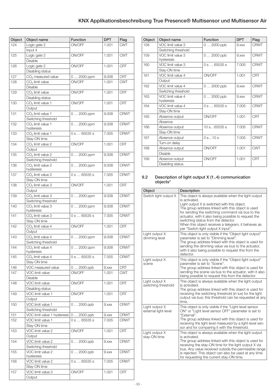<span id="page-8-0"></span>

| Object | Object name                       | <b>Function</b> | <b>DPT</b> | Flag        |
|--------|-----------------------------------|-----------------|------------|-------------|
| 124    | Logic gate 2                      | ON/OFF          | 1.001      | <b>CWT</b>  |
|        | Input 4                           |                 |            |             |
| 125    | Logic gate 2                      | ON/OFF<br>1.001 |            | <b>CWT</b>  |
|        | <b>Disable</b>                    |                 |            |             |
| 126    | Logic gate 2                      | ON/OFF          | 1.001      | <b>CRT</b>  |
|        | Disabling status                  |                 |            |             |
| 127    | CO <sub>2</sub> measured value    | 0  2000 ppm     | 9.008      | <b>CRT</b>  |
| 128    | $CO2$ limit value                 | ON/OFF          | 1.001      | <b>CWT</b>  |
|        | Disable                           |                 |            |             |
| 129    | CO <sub>2</sub> limit value       | ON/OFF          | 1.001      | <b>CRT</b>  |
|        | Disabling status                  |                 |            |             |
| 130    | $CO2$ limit value 1               | ON/OFF          | 1.001      | <b>CRT</b>  |
| 131    | Output<br>$CO2$ limit value 1     |                 | 9.008      | <b>CRWT</b> |
|        | Switching threshold               | $02000$ ppm     |            |             |
| 132    | $CO2$ limit value 1               | $02000$ ppm     | 9.008      | <b>CRWT</b> |
|        | hysteresis                        |                 |            |             |
| 133    | $CO2$ limit value 1               | 0 s 65535 s     | 7.005      | <b>CRWT</b> |
|        | Stay-ON time                      |                 |            |             |
| 134    | $CO2$ limit value 2               | ON/OFF          | 1.001      | <b>CRT</b>  |
|        | Output                            |                 |            |             |
| 135    | $CO2$ limit value 2               | $02000$ ppm     | 9.008      | <b>CRWT</b> |
|        | Switching threshold               |                 |            |             |
| 136    | $CO2$ limit value 2               | $02000$ ppm     | 9.008      | <b>CRWT</b> |
|        | hysteresis                        |                 |            |             |
| 137    | $CO2$ limit value 2               | 0 s 65535 s     | 7.005      | <b>CRWT</b> |
|        | Stay-ON time                      | ON/OFF          |            | <b>CRT</b>  |
| 138    | $CO2$ limit value 3<br>Output     |                 | 1.001      |             |
| 139    | $CO2$ limit value 3               | $02000$ ppm     | 9.008      | <b>CRWT</b> |
|        | Switching threshold               |                 |            |             |
| 140    | $CO2$ limit value 3               | $02000$ ppm     | 9.008      | <b>CRWT</b> |
|        | hysteresis                        |                 |            |             |
| 141    | $CO2$ limit value 3               | 0 s 65535 s     | 7.005      | <b>CRWT</b> |
|        | Stay-ON time                      |                 |            |             |
| 142    | $CO2$ limit value 4               | ON/OFF          | 1.001      | <b>CRT</b>  |
|        | Output                            |                 |            |             |
| 143    | $CO2$ limit value 4               | $02000$ ppm     | 9.008      | <b>CRWT</b> |
|        | Switching threshold               |                 |            |             |
| 144    | $CO2$ limit value 4<br>hysteresis | $02000$ ppm     | 9.008      | <b>CRWT</b> |
| 145    | $CO2$ limit value 4               | 0 s 65535 s     | 7.005      | <b>CRWT</b> |
|        | Stay-ON time                      |                 |            |             |
| 146    | VOC measured value                | $0 2000$ ppb    | $9.$ $xxx$ | <b>CRT</b>  |
| 147    | VOC limit value                   | ON/OFF          | 1.001      | <b>CWT</b>  |
|        | Disable                           |                 |            |             |
| 148    | VOC limit value                   | ON/OFF          | 1.001      | <b>CRT</b>  |
|        | Disabling status                  |                 |            |             |
| 149    | VOC limit value 1                 | ON/OFF          | 1.001      | <b>CRT</b>  |
|        | Output                            |                 |            |             |
| 150    | VOC limit value 1                 | $02000$ ppb     | $9.$ xxx   | <b>CRWT</b> |
|        | Switching threshold               |                 |            |             |
| 151    | VOC limit value 1 hysteresis      | 0  2000 ppb     | $9.$ $xxx$ | <b>CRWT</b> |
| 152    | VOC limit value 1                 | 0 s  65535 s    | 7.005      | <b>CRWT</b> |
|        | Stay-ON time                      |                 |            |             |
| 153    | VOC limit value 2                 | ON/OFF          | 1.001      | <b>CRT</b>  |
|        | Output                            |                 |            |             |
| 154    | VOC limit value 2                 | $02000$ ppb     | $9.$ $xxx$ | <b>CRWT</b> |
|        | Switching threshold               |                 |            |             |
| 155    | VOC limit value 2<br>hysteresis   | $02000$ ppb     | $9.$ xxx   | <b>CRWT</b> |
| 156    | VOC limit value 2                 | 0 s 65535 s     | 7.005      | <b>CRWT</b> |
|        | Stay-ON time                      |                 |            |             |
| 157    | VOC limit value 3                 | ON/OFF          | 1.001      | <b>CRT</b>  |
|        | Output                            |                 |            |             |
|        |                                   |                 |            |             |

| Object | Object name         | <b>Function</b> | <b>DPT</b> | Flag        |
|--------|---------------------|-----------------|------------|-------------|
| 158    | VOC limit value 3   | $02000$ ppb     | $9.$ $xxx$ | <b>CRWT</b> |
|        | Switching threshold |                 |            |             |
| 159    | VOC limit value 3   | $02000$ ppb     | $9.$ xxx   | <b>CRWT</b> |
|        | hysteresis          |                 |            |             |
| 160    | VOC limit value 3   | 0 s 65535 s     | 7.005      | <b>CRWT</b> |
|        | Stay-ON time        |                 |            |             |
| 161    | VOC limit value 4   | ON/OFF          | 1.001      | <b>CRT</b>  |
|        | Output              |                 |            |             |
| 162    | VOC limit value 4   | $02000$ ppb     | $9.$ xxx   | <b>CRWT</b> |
|        | Switching threshold |                 |            |             |
| 163    | VOC limit value 4   | $02000$ ppb     | $9.$ xxx   | <b>CRWT</b> |
|        | hysteresis          |                 |            |             |
| 164    | VOC limit value 4   | 0s65535s        | 7.005      | <b>CRWT</b> |
|        | Stay-ON time        |                 |            |             |
| 165    | Absence output      | ON/OFF          | 1.001      | <b>CRT</b>  |
|        | Absence             |                 |            |             |
| 166    | Absence output      | 10 s65535 s     | 7.005      | <b>CRWT</b> |
|        | Stay-ON time        |                 |            |             |
| 167    | Absence output      | 0 s 10 s        | 7.005      | <b>CRWT</b> |
|        | Turn-on delay       |                 |            |             |
| 168    | Absence output      | ON/OFF          | 1.001      | <b>CWT</b>  |
|        | <b>Disable</b>      |                 |            |             |
| 169    | Absence output      | ON/OFF          | 1.001      | CRT         |
|        | Disabling status    |                 |            |             |

### 9.2 Description of light output X (1..4) communication objects\*

| Object                                 | Description                                                                                                                                                                                                                                                                                                                                                                                                                 |
|----------------------------------------|-----------------------------------------------------------------------------------------------------------------------------------------------------------------------------------------------------------------------------------------------------------------------------------------------------------------------------------------------------------------------------------------------------------------------------|
| Switch light output X                  | This object is always available when the light output<br>is activated.<br>Light output X is switched with this object.<br>The group address linked with this object is used<br>for sending the switching command via bus to the<br>actuator, with it also being possible to request the<br>switching status from the detector.<br>When this object receives a telegram, it behaves as<br>per "Switch light output X input". |
| Light output X<br>dimming level        | This object is only visible if the "Object light output"<br>parameter is set to "Dimming level".<br>The group address linked with this object is used for<br>sending the dimming value via bus to the actuator,<br>with it also being possible to request this from the<br>detector.                                                                                                                                        |
| Light output X<br>scene                | This object is only visible if the "Object light output"<br>parameter is set to "Scene".<br>The group address linked with this object is used for<br>sending the scene via bus to the actuator, with it also<br>being possible to request this from the detector.                                                                                                                                                           |
| Light output X<br>switching threshold  | This object is always available when the light output<br>is activated.<br>The group address linked with this object is used for<br>receiving the switching threshold (in lux) for the light<br>output via bus; this threshold can be requested at any<br>time.                                                                                                                                                              |
| Light output X<br>external light-level | This object is only visible if the "Light-level sensor<br>ON" or "Light level sensor OFF" parameter is set to<br>"External".<br>The group address linked with this object is used for<br>receiving the light level measured by a light-level sen-<br>sor and for comparing it with the threshold.                                                                                                                           |
| Light output X<br>stay-ON time         | This object is always available when the light output<br>is activated.<br>The group address linked with this object is used for<br>receiving the stay-ON time for the light output X via<br>bus. Any value received outside the permissible range<br>is rejected. This object can also be used at any time<br>for requesting the current stay-ON time.                                                                      |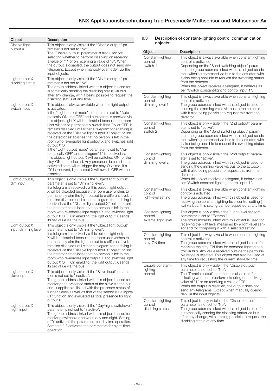<span id="page-9-0"></span>

| Object                                | Description                                                                                                                                                                                                                                                                                                                                                                                                                                                                                                                                                                                                                                                                                                                                                                                                                                                                                                                               |
|---------------------------------------|-------------------------------------------------------------------------------------------------------------------------------------------------------------------------------------------------------------------------------------------------------------------------------------------------------------------------------------------------------------------------------------------------------------------------------------------------------------------------------------------------------------------------------------------------------------------------------------------------------------------------------------------------------------------------------------------------------------------------------------------------------------------------------------------------------------------------------------------------------------------------------------------------------------------------------------------|
| Disable light<br>output X             | This object is only visible if the "Disable output" pa-<br>rameter is not set to "No".<br>The "Disable output" parameter is also used for<br>selecting whether to perform disabling on receiving<br>a value of "1" or on receiving a value of "0". When<br>the output is disabled, the output does not send any<br>telegrams. Except when manually overridden via the<br>input objects.                                                                                                                                                                                                                                                                                                                                                                                                                                                                                                                                                   |
| Light output X<br>disabling status    | This object is only visible if the "Disable output" pa-<br>rameter is not set to "No".<br>The group address linked with this object is used for<br>automatically sending the disabling status via bus<br>after any change, with it being possible to request the<br>disabling status at any time.                                                                                                                                                                                                                                                                                                                                                                                                                                                                                                                                                                                                                                         |
| Light output X<br>switch input        | This object is always available when the light output<br>is activated.<br>If the "Light output mode" parameter is set to "Auto-<br>matically ON and OFF" and a telegram is received via<br>this object, light X will be disabled because the room<br>user wishes to permanently switch light ON or OFF. It<br>remains disabled until either a telegram for enabling is<br>received via the "Disable light output X" object or until<br>the detector establishes that no person is left in the<br>room who re-enables light output X and switches light<br>output X OFF.<br>If the "Light output mode" parameter is set to "Au-<br>tomatically OFF" and a telegram"1" is received via<br>this object, light output X will be switched ON for the<br>stay-ON time selected. Any presence detected in the<br>activated state will re-trigger the stay-ON time. If a<br>"0" is received, light output X will switch OFF without<br>disabling. |
| Light output X,<br>dim input          | This object is only visible if the "Object light output"<br>parameter is set to "Dimming level".<br>If a telegram is received via this object, light output<br>X will be disabled because the room user wishes to<br>permanently dim the light output to a different level. It<br>remains disabled until either a telegram for enabling is<br>received via the "Disable light output X" object or until<br>the detector establishes that no person is left in the<br>room who re-enables light output X and switches light<br>output X OFF. On enabling, the light output X sends<br>its set value via the bus.                                                                                                                                                                                                                                                                                                                           |
| Light output X<br>input dimming level | This object is only visible if the "Object light output"<br>parameter is set to "Dimming level".<br>If a telegram is received via this object, light output<br>X will be disabled because the room user wishes to<br>permanently dim the light output to a different level. It<br>remains disabled until either a telegram for enabling is<br>received via the "Disable light output X" object or until<br>the detector establishes that no person is left in the<br>room who re-enables light output X and switches light<br>output X OFF. On enabling, the light output X sends<br>its set value via the bus.                                                                                                                                                                                                                                                                                                                           |
| Light output X<br>slave input         | This object is only visible if the "Slave input" param-<br>eter is not set to "inactive".<br>The group address linked with this object is used for<br>receiving the presence status of the slave via the bus<br>and, if applicable, linked with the presence status of<br>further slaves as well as that of the sensor via a logical<br>OR function and evaluated as total presence for light<br>output X.                                                                                                                                                                                                                                                                                                                                                                                                                                                                                                                                |
| Light output X<br>night input         | This object is only visible if the "Day/night switchover"<br>parameter is not set to "inactive".<br>The group address linked with this object is used for<br>receiving switchover between day and night. Setting<br>a "0" activates the parameters for daytime operation.<br>Setting a "1" activates the parameters for night-time<br>operation.                                                                                                                                                                                                                                                                                                                                                                                                                                                                                                                                                                                          |

### 9.3 Description of constant-lighting control communication objects\*

| Object                                               | Description                                                                                                                                                                                                                                                                                                                                                                                                                                  |
|------------------------------------------------------|----------------------------------------------------------------------------------------------------------------------------------------------------------------------------------------------------------------------------------------------------------------------------------------------------------------------------------------------------------------------------------------------------------------------------------------------|
| Constant-lighting<br>control<br>switch 1             | This object is always available when constant-lighting<br>control is activated.<br>Depending on the "Send switching object" param-<br>eter, the group address linked with this object sends<br>the switching command via bus to the actuator, with<br>it also being possible to request the switching status<br>from the detector.<br>When this object receives a telegram, it behaves as<br>per "Switch constant-lighting control input 1". |
| Constant-lighting<br>control<br>dimming level 1      | This object is always available when constant-lighting<br>control is activated.<br>The group address linked with this object is used for<br>sending the dimming value via bus to the actuator,<br>with it also being possible to request this from the<br>detector.                                                                                                                                                                          |
| Constant-lighting<br>control<br>switch 2             | This object is only visible if the "2nd output" param-<br>eter is set to "active".<br>Depending on the "Send switching object" param-<br>eter, the group address linked with this object sends<br>the switching command via bus to the actuator, with<br>it also being possible to request the switching status<br>from the detector.                                                                                                        |
| Constant-lighting<br>control<br>dimming level 2      | This object is only visible if the "2nd output" param-<br>eter is set to "active".<br>The group address linked with this object is used for<br>sending the dimming value via bus to the actuator,<br>with it also being possible to request this from the<br>detector.<br>When this object receives a telegram, it behaves as<br>per "Switch constant-lighting control input 1".                                                             |
| Constant-lighting<br>control<br>light-level setting  | This object is always available when constant-lighting<br>control is activated.<br>The group address linked with this object is used for<br>receiving the constant lighting-level control setting (in<br>lux) via bus; this setting can be requested at any time.                                                                                                                                                                            |
| Constant-lighting<br>control<br>external light level | This object is only visible if the "Light-level sensor"<br>parameter is set to "External".<br>The group address linked with this object is used for<br>receiving the light level measured by a light-level sen-<br>sor and for comparing it with a selected setting.                                                                                                                                                                         |
| Constant-lighting<br>control<br>stay-ON time         | This object is always available when constant-lighting<br>control is activated.<br>The group address linked with this object is used for<br>receiving the stay-ON time for constant-lighting con-<br>trol via bus. Any value received outside the permissi-<br>ble range is rejected. This object can also be used at<br>any time for requesting the current stay-ON time.                                                                   |
| Disable constant-<br>lighting<br>control             | This object is only visible if the "Disable output"<br>parameter is not set to "No".<br>The "Disable output" parameter is also used for<br>selecting whether to perform disabling on receiving a<br>value of "1" or on receiving a value of "0".<br>When the output is disabled, the output does not<br>send any telegrams. Except when manually overrid-<br>den via the input objects.                                                      |
| Constant-lighting<br>control<br>disabling status     | This object is only visible if the "Disable output"<br>parameter is not set to "No".<br>The group address linked with this object is used for<br>automatically sending the disabling status via bus<br>after any change, with it being possible to request the<br>disabling status at any time.                                                                                                                                              |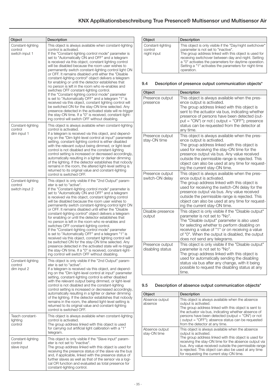<span id="page-10-0"></span>

| Object                                         | Description                                                                                                                                                                                                                                                                                                                                                                                                                                                                                                                                                                                                                                                                                                                                                                                                                                                                                                                                                                                                                                         |
|------------------------------------------------|-----------------------------------------------------------------------------------------------------------------------------------------------------------------------------------------------------------------------------------------------------------------------------------------------------------------------------------------------------------------------------------------------------------------------------------------------------------------------------------------------------------------------------------------------------------------------------------------------------------------------------------------------------------------------------------------------------------------------------------------------------------------------------------------------------------------------------------------------------------------------------------------------------------------------------------------------------------------------------------------------------------------------------------------------------|
| Constant-lighting<br>control<br>switch input 1 | This object is always available when constant-lighting<br>control is activated.<br>If the "Constant-lighting control mode" parameter is<br>set to "Automatically ON and OFF" and a telegram<br>is received via this object, constant lighting control<br>will be disabled because the room user wishes to<br>permanently switch constant-lighting control light ON<br>or OFF. It remains disabled until either the "Disable<br>constant-lighting control" object delivers a telegram<br>for enabling or until the detector establishes that<br>no person is left in the room who re-enables and<br>switches OFF constant-lighting control.<br>If the "Constant-lighting control mode" parameter<br>is set to "Automatically OFF" and a telegram "1" is<br>received via this object, constant lighting control will<br>be switched ON for the stay-ON time selected. Any<br>presence detected in the activated state will re-trigger<br>the stay-ON time. If a "0" is received, constant-light-<br>ing control will switch OFF without disabling.    |
| Constant-lighting<br>control<br>dim input 1    | This object is always available when constant-lighting<br>control is activated.<br>If a telegram is received via this object, and depend-<br>ing on the "Dim light-level control at input" parameter<br>setting, constant-lighting control is either disabled<br>with the relevant output being dimmed, or light-level<br>control is not disabled and the constant-lighting<br>control setting is increased or decreased accordingly,<br>automatically resulting in a lighter or darker dimming<br>of the lighting. If the detector establishes that nobody<br>remains in the room, the altered light-level setting is<br>returned to its original value and constant-lighting<br>control is switched OFF.                                                                                                                                                                                                                                                                                                                                          |
| Constant-lighting<br>control<br>switch input 2 | This object is only visible if the "2nd Output" param-<br>eter is set to "active".<br>If the "Constant-lighting control mode" parameter is<br>set to "Automatically ON and OFF" and a telegram<br>is received via this object, constant lighting control<br>will be disabled because the room user wishes to<br>permanently switch constant-lighting control light ON<br>or OFF. It remains disabled until either the "Disable<br>constant-lighting control" object delivers a telegram<br>for enabling or until the detector establishes that<br>no person is left in the room who re-enables and<br>switches OFF constant-lighting control.<br>If the "Constant-lighting control mode" parameter<br>is set to "Automatically OFF" and a telegram "1" is<br>received via this object, constant lighting control will<br>be switched ON for the stay-ON time selected. Any<br>presence detected in the activated state will re-trigger<br>the stay-ON time. If a "0" is received, constant-light-<br>ing control will switch OFF without disabling. |
| Constant-lighting<br>control<br>dim input 2    | This object is only visible if the "2nd Output" param-<br>eter is set to "active".<br>If a telegram is received via this object, and depend-<br>ing on the "Dim light-level control at input" parameter<br>setting, constant-lighting control is either disabled<br>with the relevant output being dimmed, or light-level<br>control is not disabled and the constant-lighting<br>control setting is increased or decreased accordingly,<br>automatically resulting in a lighter or darker dimming<br>of the lighting. If the detector establishes that nobody<br>remains in the room, the altered light-level setting is<br>returned to its original value and constant-lighting<br>control is switched OFF.                                                                                                                                                                                                                                                                                                                                       |
| Teach constant-<br>lighting<br>control         | This object is always available when constant-lighting<br>control is activated.<br>The group address linked with this object is used<br>for carrying out artificial light calibration with a "1"<br>telegram.                                                                                                                                                                                                                                                                                                                                                                                                                                                                                                                                                                                                                                                                                                                                                                                                                                       |
| Constant-lighting<br>control<br>slave input    | This object is only visible if the "Slave input" param-<br>eter is not set to "inactive".<br>The group address linked with this object is used for<br>receiving the presence status of the slave via the bus<br>and, if applicable, linked with the presence status of<br>further slaves as well as that of the sensor via a logi-<br>cal OR function and evaluated as total presence for<br>constant-lighting control.                                                                                                                                                                                                                                                                                                                                                                                                                                                                                                                                                                                                                             |

| Object                                      | Description                                                                                                                                                                                                                                                                                                                                      |
|---------------------------------------------|--------------------------------------------------------------------------------------------------------------------------------------------------------------------------------------------------------------------------------------------------------------------------------------------------------------------------------------------------|
| Constant-lighting<br>control<br>night input | This object is only visible if the "Day/night switchover"<br>parameter is not set to "inactive".<br>The group address linked with this object is used for<br>receiving switchover between day and night. Setting<br>a "0" activates the parameters for daytime operation.<br>Setting a "1" activates the parameters for night-time<br>operation. |

## 9.4 Description of presence output communication objects\*

| Object                              | Description                                                                                                                                                                                                                                                                                                                                                          |
|-------------------------------------|----------------------------------------------------------------------------------------------------------------------------------------------------------------------------------------------------------------------------------------------------------------------------------------------------------------------------------------------------------------------|
| Presence output<br>presence         | This object is always available when the pres-<br>ence output is activated.<br>The group address linked with this object is<br>sent to the actuator via bus, indicating whether<br>presence of persons have been detected (out-<br>$put = "ON")$ or not (output = "OFF"); presence<br>status can be requested from the detector at<br>any time.                      |
| Presence output<br>stay-ON time     | This object is always available when the pres-<br>ence output is activated.<br>The group address linked with this object is<br>used for receiving the stay-ON time for the<br>presence output via bus. Any value received<br>outside the permissible range is rejected. This<br>object can also be used at any time for request-<br>ing the current stay-ON time.    |
| Presence output<br>switch-ON delay  | This object is always available when the pres-<br>ence output is activated.<br>The group address linked with this object is<br>used for receiving the switch-ON delay for the<br>presence output via bus. Any value received<br>outside the permissible range is rejected. This<br>object can also be used at any time for request-<br>ing the current stay-ON time. |
| Disable presence<br>output          | This object is only visible if the "Disable output"<br>parameter is not set to "No".<br>The "Disable output" parameter is also used<br>for selecting whether to perform disabling on<br>receiving a value of "1" or on receiving a value<br>of "0". When the output is disabled, the output<br>does not send any telegrams.                                          |
| Presence output<br>disabling status | This object is only visible if the "Disable output"<br>parameter is not set to "No".<br>The group address linked with this object is<br>used for automatically sending the disabling<br>status via bus after any change, with it being<br>possible to request the disabling status at any<br>time.                                                                   |

## 9.5 Description of absence output communication objects\*

| Object                         | Description                                                                                                                                                                                                                                                                                                                                              |
|--------------------------------|----------------------------------------------------------------------------------------------------------------------------------------------------------------------------------------------------------------------------------------------------------------------------------------------------------------------------------------------------------|
| Absence output<br>absence      | This object is always available when the absence<br>output is activated.<br>The group address linked with this object is sent to<br>the actuator via bus, indicating whether absence of<br>persons have been detected (output $=$ "ON") or not<br>(output = "OFF"); absence status can be requested<br>from the detector at any time.                    |
| Absence output<br>stav-ON time | This object is always available when the absence<br>output is activated.<br>The group address linked with this object is used for<br>receiving the stay-ON time for the absence output via<br>bus. Any value received outside the permissible range<br>is rejected. This object can also be used at any time<br>for requesting the current stay-ON time. |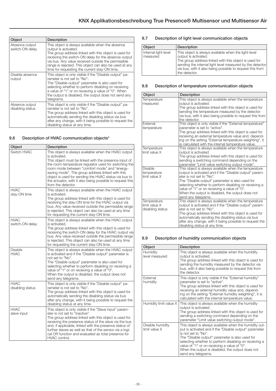<span id="page-11-0"></span>

| Object                             | Description                                                                                                                                                                                                                                                                                                                                                 |
|------------------------------------|-------------------------------------------------------------------------------------------------------------------------------------------------------------------------------------------------------------------------------------------------------------------------------------------------------------------------------------------------------------|
| Absence output<br>switch-ON delay  | This object is always available when the absence<br>output is activated.<br>The group address linked with this object is used for<br>receiving the switch-ON delay for the absence output<br>via bus. Any value received outside the permissible<br>range is rejected. This object can also be used at any<br>time for requesting the current stay-ON time. |
| Disable absence<br>output          | This object is only visible if the "Disable output" pa-<br>rameter is not set to "No".<br>The "Disable output" parameter is also used for<br>selecting whether to perform disabling on receiving<br>a value of "1" or on receiving a value of "0". When<br>the output is disabled, the output does not send any<br>telegrams.                               |
| Absence output<br>disabling status | This object is only visible if the "Disable output" pa-<br>rameter is not set to "No".<br>The group address linked with this object is used for<br>automatically sending the disabling status via bus<br>after any change, with it being possible to request the<br>disabling status at any time.                                                           |

## 9.6 Description of HVAC communication objects\*

| Object                          | Description                                                                                                                                                                                                                                                                                                                                                                                                                              |
|---------------------------------|------------------------------------------------------------------------------------------------------------------------------------------------------------------------------------------------------------------------------------------------------------------------------------------------------------------------------------------------------------------------------------------------------------------------------------------|
| Switch HVAC                     | This object is always available when the HVAC output<br>is activated.<br>This object must be linked with the presence input of<br>the room-temperature regulator used for switching the<br>room mode between "comfort mode" and "energy-<br>saving mode". The group address linked with this<br>object is used for sending the HVAC status via bus to<br>the actuator, with it also being possible to request this<br>from the detector. |
| <b>HVAC</b><br>stay-ON time     | This object is always available when the HVAC output<br>is activated.<br>The group address linked with this object is used for<br>receiving the stay-ON time for the HVAC output via<br>bus. Any value received outside the permissible range<br>is rejected. This object can also be used at any time<br>for requesting the current stay-ON time.                                                                                       |
| <b>HVAC</b><br>switch-ON delay  | This object is always available when the HVAC output<br>is activated.<br>The group address linked with this object is used for<br>receiving the switch-ON delay for the HVAC output via<br>bus. Any value received outside the permissible range<br>is rejected. This object can also be used at any time<br>for requesting the current stay-ON time.                                                                                    |
| <b>Disable</b><br><b>HVAC</b>   | This object is always available when the HVAC output<br>is activated and if the "Disable output" parameter is<br>not set to "No".<br>The "Disable output" parameter is also used for<br>selecting whether to perform disabling on receiving a<br>value of "1" or on receiving a value of "0".<br>When the output is disabled, the output does not<br>send any telegrams.                                                                 |
| <b>HVAC</b><br>disabling status | This object is only visible if the "Disable output" pa-<br>rameter is not set to "No".<br>The group address linked with this object is used for<br>automatically sending the disabling status via bus<br>after any change, with it being possible to request the<br>disabling status at any time.                                                                                                                                        |
| <b>HVAC</b><br>slave input      | This object is only visible if the "Slave input" param-<br>eter is not set to "inactive".<br>The group address linked with this object is used for<br>receiving the presence status of the slave via the bus<br>and, if applicable, linked with the presence status of<br>further slaves as well as that of the sensor via a logi-<br>cal OR function and evaluated as total presence for<br>HVAC control.                               |

## 9.7 Description of light level communication objects

| Object                           | Description                                                                                                                                                                                                                                                                      |
|----------------------------------|----------------------------------------------------------------------------------------------------------------------------------------------------------------------------------------------------------------------------------------------------------------------------------|
| Internal light level<br>measured | This object is always available when the light-level<br>output is activated.<br>The group address linked with this object is used for<br>sending the internal light level measured by the detector<br>via bus, with it also being possible to request this from<br>the detector. |

### 9.8 Description of temperature communication objects

| Object           | Description                                               |
|------------------|-----------------------------------------------------------|
| Temperature      | This object is always available when the temperature      |
| measured         | output is activated.                                      |
|                  | The group address linked with this object is used for     |
|                  | sending the temperature measured by the detector          |
|                  | via bus, with it also being possible to request this from |
|                  | the detector.                                             |
| External         | This object is only visible if the "External temperature" |
| temperature      | parameter is set to "active".                             |
|                  | The group address linked with this object is used for     |
|                  | receiving an external temperature value and, depend-      |
|                  | ing on the setting "External temperature weighting", it   |
|                  | is calculated with the internal temperature value.        |
| Temperature      | This object is always available when the temperature      |
| limit value X    | output is activated.                                      |
|                  | The group address linked with this object is used for     |
|                  | sending a switching command depending on the              |
|                  | parameter "Limit value switching output mode".            |
| <b>Disable</b>   | This object is always available when the temperature      |
| temperature      | output is activated and if the "Disable output" param-    |
| limit value X    | eter is not set to "No".                                  |
|                  | The "Disable output" parameter is also used for           |
|                  | selecting whether to perform disabling on receiving a     |
|                  | value of "1" or on receiving a value of "0".              |
|                  | When the output is disabled, the output does not          |
|                  | send any telegrams.                                       |
| Temperature      | This object is always available when the temperature      |
| limit value X    | output is activated and if the "Disable output" param-    |
| disabling status | eter is not set to "No".                                  |
|                  | The group address linked with this object is used for     |
|                  | automatically sending the disabling status via bus        |
|                  | after any change, with it being possible to request the   |
|                  | disabling status at any time.                             |

## 9.9 Description of humidity communication objects

| Object                            | Description                                                                                                                                                                                                                                                                                                                                                                    |
|-----------------------------------|--------------------------------------------------------------------------------------------------------------------------------------------------------------------------------------------------------------------------------------------------------------------------------------------------------------------------------------------------------------------------------|
| Humidity<br>level measured        | This object is always available when the humidity<br>output is activated.<br>The group address linked with this object is used for<br>sending the humidity measured by the detector via<br>bus, with it also being possible to request this from<br>the detector.                                                                                                              |
| External<br>humidity              | This object is only visible if the "External humidity"<br>parameter is set to "active".<br>The group address linked with this object is used for<br>receiving an external humidity value and, depend-<br>ing on the setting "External humidity weighting", it is<br>calculated with the internal temperature value.                                                            |
| Humidity limit value X            | This object is always available when the humidity<br>output is activated.<br>The group address linked with this object is used for<br>sending a switching command depending on the<br>parameter "Limit value switching output mode".                                                                                                                                           |
| Disable humidity<br>limit value X | This object is always available when the humidity out-<br>put is activated and if the "Disable output" parameter<br>is not set to "No".<br>The "Disable output" parameter is also used for<br>selecting whether to perform disabling on receiving a<br>value of "1" or on receiving a value of "0".<br>When the output is disabled, the output does not<br>send any telegrams. |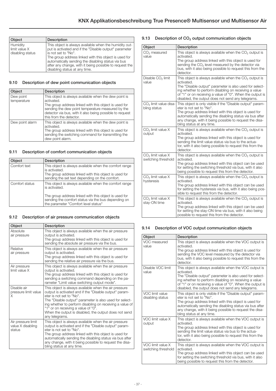<span id="page-12-0"></span>

| Object                                        | Description                                                                                                                                                                                                                                                                                                                                        |
|-----------------------------------------------|----------------------------------------------------------------------------------------------------------------------------------------------------------------------------------------------------------------------------------------------------------------------------------------------------------------------------------------------------|
| Humidity<br>limit value X<br>disabling status | This object is always available when the humidity out-<br>put is activated and if the "Disable output" parameter<br>is not set to "No".<br>The group address linked with this object is used for<br>automatically sending the disabling status via bus<br>after any change, with it being possible to request the<br>disabling status at any time. |

## 9.10 Description of dew point communication objects

| Object                   | <b>Description</b>                                                                                                                                                                                                                                                       |
|--------------------------|--------------------------------------------------------------------------------------------------------------------------------------------------------------------------------------------------------------------------------------------------------------------------|
| Dew point<br>temperature | This object is always available when the dew point is<br>activated.<br>The group address linked with this object is used for<br>sending the dew point temperature measured by the<br>detector via bus, with it also being possible to request<br>this from the detector. |
| Dew point alarm          | This object is always available when the dew point is<br>activated.<br>The group address linked with this object is used for<br>sending the switching command for transmitting the<br>dew point alarm.                                                                   |

## 9.11 Description of comfort communication objects

| Object         | Description                                                                                                                                                                                                                     |
|----------------|---------------------------------------------------------------------------------------------------------------------------------------------------------------------------------------------------------------------------------|
| Comfort text   | This object is always available when the comfort range<br>is activated.<br>The group address linked with this object is used for<br>sending the set text depending on the comfort.                                              |
| Comfort status | This object is always available when the comfort range<br>is activated.<br>The group address linked with this object is used for<br>sending the comfort status via the bus depending on<br>the parameter "Comfort level status" |

## 9.12 Description of air pressure communication objects

| Object                                            | <b>Description</b>                                                                                                                                                                                                                                                                                                                                                                   |
|---------------------------------------------------|--------------------------------------------------------------------------------------------------------------------------------------------------------------------------------------------------------------------------------------------------------------------------------------------------------------------------------------------------------------------------------------|
| Absolute<br>air pressure                          | This object is always available when the air pressure<br>output is activated.<br>The group address linked with this object is used for<br>sending the absolute air pressure via the bus.                                                                                                                                                                                             |
| Relative<br>air pressure                          | This object is always available when the air pressure<br>output is activated.<br>The group address linked with this object is used for<br>sending the relative air pressure via the bus.                                                                                                                                                                                             |
| Air pressure<br>limit value X                     | This object is always available when the air pressure<br>output is activated.<br>The group address linked with this object is used for<br>sending a switching command depending on the pa-<br>rameter "Limit value switching output mode".                                                                                                                                           |
| Disable air<br>pressure limit value<br>X          | This object is always available when the air pressure<br>output is activated and if the "Disable output" param-<br>eter is not set to "No".<br>The "Disable output" parameter is also used for select-<br>ing whether to perform disabling on receiving a value of<br>"1" or on receiving a value of "0".<br>When the output is disabled, the output does not send<br>any telegrams. |
| Air pressure limit<br>value X disabling<br>status | This object is always available when the air pressure<br>output is activated and if the "Disable output" param-<br>eter is not set to "No".<br>The group address linked with this object is used for<br>automatically sending the disabling status via bus after<br>any change, with it being possible to request the disa-<br>bling status at any time.                             |

## 9.13 Description of CO<sub>2</sub> output communication objects

| Object                                               | Description                                                                                                                                                                                                                                                                                                            |
|------------------------------------------------------|------------------------------------------------------------------------------------------------------------------------------------------------------------------------------------------------------------------------------------------------------------------------------------------------------------------------|
| $CO2$ measured<br>value                              | This object is always available when the CO <sub>2</sub> output is<br>activated.<br>The group address linked with this object is used for<br>sending the CO <sub>2</sub> level measured by the detector via<br>bus, with it also being possible to request this from the<br>detector.                                  |
| Disable CO <sub>2</sub> limit<br>value               | This object is always available when the CO <sub>2</sub> output is<br>activated.<br>The "Disable output" parameter is also used for select-<br>ing whether to perform disabling on receiving a value<br>of "1" or on receiving a value of "0". When the output is<br>disabled, the output does not send any telegrams. |
| CO <sub>2</sub> limit value disa-<br>bling status    | This object is only visible if the "Disable output" param-<br>eter is not set to "No".<br>The group address linked with this object is used for<br>automatically sending the disabling status via bus after<br>any change, with it being possible to request the disa-<br>bling status at any time.                    |
| $CO2$ limit value X<br>output                        | This object is always available when the $CO2$ output is<br>activated.<br>The group address linked with this object is used for<br>sending the limit value status via bus to the actua-<br>tor, with it also being possible to request this from the<br>detector.                                                      |
| CO <sub>2</sub> limit value X<br>switching threshold | This object is always available when the $CO2$ output is<br>activated.<br>The group address linked with this object can be used<br>for setting the switching threshold via bus, with it also<br>being possible to request this from the detector.                                                                      |
| CO <sub>2</sub> limit value X<br>hysteresis          | This object is always available when the CO <sub>2</sub> output is<br>activated.<br>The group address linked with this object can be used<br>for setting the hysteresis via bus, with it also being pos-<br>sible to request this from the detector.                                                                   |
| CO <sub>2</sub> limit value X<br>stay-ON time        | This object is always available when the $CO2$ output is<br>activated.<br>The group address linked with this object can be used<br>for setting the stay-ON time via bus, with it also being<br>possible to request this from the detector.                                                                             |

## 9.14 Description of VOC output communication objects

| Object                                   | Description                                                                                                                                                                                                                                                                                                |
|------------------------------------------|------------------------------------------------------------------------------------------------------------------------------------------------------------------------------------------------------------------------------------------------------------------------------------------------------------|
| VOC measured<br>value                    | This object is always available when the VOC output is<br>activated.<br>The group address linked with this object is used for<br>sending the VOC level measured by the detector via<br>bus, with it also being possible to request this from the<br>detector.                                              |
| Disable VOC limit<br>value               | This object is always available when the VOC output is<br>activated.<br>The "Disable output" parameter is also used for select-<br>ing whether to perform disabling on receiving a value<br>of "1" or on receiving a value of "0". When the output is<br>disabled, the output does not send any telegrams. |
| VOC limit value<br>disabling status      | This object is only visible if the "Disable output" param-<br>eter is not set to "No".<br>The group address linked with this object is used for<br>automatically sending the disabling status via bus after<br>any change, with it being possible to request the disa-<br>bling status at any time.        |
| VOC limit value X<br>output              | This object is always available when the VOC output is<br>activated.<br>The group address linked with this object is used for<br>sending the limit value status via bus to the actua-<br>tor, with it also being possible to request this from the<br>detector.                                            |
| VOC limit value X<br>switching threshold | This object is always available when the VOC output is<br>activated.<br>The group address linked with this object can be used<br>for setting the switching threshold via bus, with it also<br>being possible to request this from the detector.                                                            |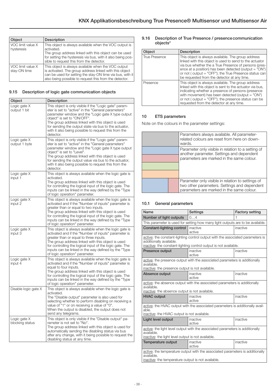<span id="page-13-0"></span>

| Object                            | <b>Description</b>                                                                                                                                                                                                                       |
|-----------------------------------|------------------------------------------------------------------------------------------------------------------------------------------------------------------------------------------------------------------------------------------|
| VOC limit value X<br>hysteresis   | This object is always available when the VOC output is<br>activated.<br>The group address linked with this object can be used<br>for setting the hysteresis via bus, with it also being pos-<br>sible to request this from the detector. |
| VOC limit value X<br>stay-ON time | This object is always available when the VOC output<br>is activated. The group address linked with this object<br>can be used for setting the stay-ON time via bus, with it<br>also being possible to request this from the detector.    |

## 9.15 Description of logic gate communication objects

| Object                          | Description                                                                                                                                                                                                                                                                                                                                                                           |
|---------------------------------|---------------------------------------------------------------------------------------------------------------------------------------------------------------------------------------------------------------------------------------------------------------------------------------------------------------------------------------------------------------------------------------|
| Logic gate X<br>output 1 bit    | This object is only visible if the "Logic gate" param-<br>eter is set to "active" in the "General parameters"<br>parameter window and the "Logic gate X type output<br>object" is set to "ON/OFF".<br>The group address linked with this object is used<br>for sending the output state via bus to the actuator,<br>with it also being possible to request this from the<br>detector. |
| Logic gate X<br>output 1 byte   | This object is only visible if the "Logic gate" param-<br>eter is set to "active" in the "General parameters"<br>parameter window and the "Logic gate X type output<br>object" is set to "Level".<br>The group address linked with this object is used<br>for sending the output value via bus to the actuator,<br>with it also being possible to request this from the<br>detector.  |
| Logic gate X<br>input 1         | This object is always available when the logic gate is<br>activated.<br>The group address linked with this object is used<br>for controlling the logical input of the logic gate. The<br>inputs can be linked in the way defined by the "Type<br>of logic operation" parameter.                                                                                                       |
| Logic gate X<br>input 2         | This object is always available when the logic gate is<br>activated and if the "Number of inputs" parameter is<br>greater than or equal to two inputs.<br>The group address linked with this object is used<br>for controlling the logical input of the logic gate. The<br>inputs can be linked in the way defined by the "Type<br>of logic operation" parameter.                     |
| Logic gate X<br>input 3         | This object is always available when the logic gate is<br>activated and if the "Number of inputs" parameter is<br>greater than or equal to three inputs.<br>The group address linked with this object is used<br>for controlling the logical input of the logic gate. The<br>inputs can be linked in the way defined by the "Type"<br>of logic operation" parameter.                  |
| Logic gate X<br>input 4         | This object is always available when the logic gate is<br>activated and if the "Number of inputs" parameter is<br>equal to four inputs.<br>The group address linked with this object is used<br>for controlling the logical input of the logic gate. The<br>inputs can be linked in the way defined by the "Type<br>of logic operation" parameter.                                    |
| Disable logic gate X            | This object is always available when the logic gate is<br>activated.<br>The "Disable output" parameter is also used for<br>selecting whether to perform disabling on receiving a<br>value of "1" or on receiving a value of "0"<br>When the output is disabled, the output does not<br>send any telegrams.                                                                            |
| Logic gate X<br>blocking status | This object is only visible if the "Disable output" pa-<br>rameter is not set to "No".<br>The group address linked with this object is used for<br>automatically sending the disabling status via bus<br>after any change, with it being possible to request the<br>disabling status at any time.                                                                                     |

### 9.16 Description of True Presence / presence communication objects\*

| Object               | <b>Description</b>                                                                                                                                                                                                                                                                                                                      |
|----------------------|-----------------------------------------------------------------------------------------------------------------------------------------------------------------------------------------------------------------------------------------------------------------------------------------------------------------------------------------|
| <b>True Presence</b> | This object is always available. The group address<br>linked with this object is used to send to the actuator<br>via bus whether the a True Presence of persons (pres-<br>ence at a position) has been detected (output = "ON")<br>or not (output = "OFF"); the True Presence status can<br>be requested from the detector at any time. |
| Presence             | This object is always available. The group address<br>linked with this object is sent to the actuator via bus,<br>indicating whether a presence of persons (presence<br>with movement) has been detected (output $=$ "ON")<br>or not (output = "OFF"); the presence status can be<br>requested from the detector at any time.           |

## 10 ETS parameters

Note on the colours in the parameter settings:

|  |  | Parameters always available. All parameter-<br>related colours are reset from here on down-<br>wards.                                          |
|--|--|------------------------------------------------------------------------------------------------------------------------------------------------|
|  |  | Parameter only visible in relation to a setting of<br>another parameter. Settings and dependent<br>parameters are marked in the same colour.   |
|  |  | Parameter only visible in relation to settings of<br>two other parameters. Settings and dependent<br>parameters are marked in the same colour. |

## 10.1 General parameters

| Name                                                                                                                                              | Settings                                                                                                                                           | <b>Factory setting</b> |  |  |  |
|---------------------------------------------------------------------------------------------------------------------------------------------------|----------------------------------------------------------------------------------------------------------------------------------------------------|------------------------|--|--|--|
| Number of light outputs                                                                                                                           | 04                                                                                                                                                 |                        |  |  |  |
|                                                                                                                                                   | This parameter is used for setting how many light outputs are to be available.                                                                     |                        |  |  |  |
| Constant-lighting control                                                                                                                         | inactive<br>active                                                                                                                                 | inactive               |  |  |  |
| additionally available.                                                                                                                           | active: the constant-lighting control output with the associated parameters is<br>inactive: the constant-lighting control output is not available. |                        |  |  |  |
| Presence output                                                                                                                                   | inactive<br>active                                                                                                                                 | inactive               |  |  |  |
| active: the presence output with the associated parameters is additionally<br>available.<br>inactive: the presence output is not available.       |                                                                                                                                                    |                        |  |  |  |
| Absence output                                                                                                                                    | inactive<br>active                                                                                                                                 | inactive               |  |  |  |
| active: the absence output with the associated parameters is additionally<br>available.<br>inactive: the absence output is not available.         |                                                                                                                                                    |                        |  |  |  |
| <b>HVAC output</b>                                                                                                                                | inactive<br>active                                                                                                                                 | inactive               |  |  |  |
| active: the HVAC output with the associated parameters is additionally avail-<br>able.<br>inactive: the HVAC output is not available.             |                                                                                                                                                    |                        |  |  |  |
| Light level output                                                                                                                                | inactive<br>active                                                                                                                                 | inactive               |  |  |  |
| active: the light level output with the associated parameters is additionally<br>available.<br>inactive: the light level output is not available. |                                                                                                                                                    |                        |  |  |  |
| <b>Temperature output</b>                                                                                                                         | inactive<br>active                                                                                                                                 | inactive               |  |  |  |
| active: the temperature output with the associated parameters is additionally<br>available.<br>inactive: the temperature output is not available. |                                                                                                                                                    |                        |  |  |  |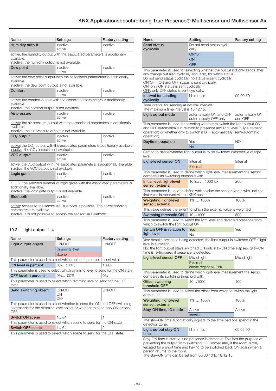<span id="page-14-0"></span>

| Name                                                                                                                                                                       | Settings                                                                                     | <b>Factory setting</b> |  |  |
|----------------------------------------------------------------------------------------------------------------------------------------------------------------------------|----------------------------------------------------------------------------------------------|------------------------|--|--|
| <b>Humidity output</b>                                                                                                                                                     | inactive<br>active                                                                           | inactive               |  |  |
| active: the humidity output with the associated parameters is additionally<br>available.<br>inactive: the humidity output is not available.                                |                                                                                              |                        |  |  |
| Dew point                                                                                                                                                                  | inactive<br>active                                                                           | inactive               |  |  |
| available.<br>inactive: the dew point output is not available.                                                                                                             | active: the dew point output with the associated parameters is additionally                  |                        |  |  |
| Comfort                                                                                                                                                                    | inactive<br>active                                                                           | inactive               |  |  |
| active: the comfort output with the associated parameters is additionally<br>available.<br>inactive: the comfort output is not available.                                  |                                                                                              |                        |  |  |
| Air pressure                                                                                                                                                               | inactive<br>active                                                                           | inactive               |  |  |
| active: the air pressure output with the associated parameters is additionally<br>available.<br>inactive: the air pressure output is not available.                        |                                                                                              |                        |  |  |
| CO <sub>2</sub> output                                                                                                                                                     | inactive<br>active                                                                           | inactive               |  |  |
| inactive: the $CO2$ output is not available.                                                                                                                               | active: the CO <sub>2</sub> output with the associated parameters is additionally available. |                        |  |  |
| <b>VOC output</b>                                                                                                                                                          | inactive<br>active                                                                           | inactive               |  |  |
| active: the VOC output with the associated parameters is additionally available.<br>inactive: the VOC output is not available.                                             |                                                                                              |                        |  |  |
| Logic gates                                                                                                                                                                | inactive<br>12                                                                               | inactive               |  |  |
| 1  2: the selected number of logic gates with the associated parameters is<br>additionally available.<br>inactive: the logic gate output is not available.                 |                                                                                              |                        |  |  |
| <b>Bluetooth</b>                                                                                                                                                           | inactive<br>active                                                                           | inactive               |  |  |
| active: access to the sensor via Bluetooth is possible. The corresponding<br>parameters are available.<br>inactive: it is not possible to access the sensor via Bluetooth. |                                                                                              |                        |  |  |

# 10.2 Light output 1..4

| Name                                                                                                                                                          | Settings                                                                       | <b>Factory setting</b> |  |  |
|---------------------------------------------------------------------------------------------------------------------------------------------------------------|--------------------------------------------------------------------------------|------------------------|--|--|
| Light output object                                                                                                                                           | ON/OFF                                                                         | ON/OFF                 |  |  |
|                                                                                                                                                               | Dimming level                                                                  |                        |  |  |
|                                                                                                                                                               | Scene                                                                          |                        |  |  |
|                                                                                                                                                               | This parameter is used to select which object the output is sent with.         |                        |  |  |
| ON level in percent                                                                                                                                           | 0%100%                                                                         | 100%                   |  |  |
|                                                                                                                                                               | This parameter is used to select which dimming level to send for the ON state. |                        |  |  |
| OFF level in percent                                                                                                                                          | 0%100%                                                                         | 0%                     |  |  |
| This parameter is used to select which dimming level to send for the OFF<br>state.                                                                            |                                                                                |                        |  |  |
| Send switching object                                                                                                                                         | ON/OFF<br>OΝ<br>OFF                                                            | ON/OFF                 |  |  |
| This parameter is used to select whether to send the ON and OFF switching<br>commands for the dimming level object or whether to send only ON or only<br>OFF. |                                                                                |                        |  |  |
| Switch ON scene                                                                                                                                               | 164                                                                            |                        |  |  |
| This parameter is used to select which scene to send for the ON state.                                                                                        |                                                                                |                        |  |  |
| <b>Switch OFF scene</b>                                                                                                                                       | 164                                                                            | 2                      |  |  |
| This parameter is used to select which scene to send for the OFF state.                                                                                       |                                                                                |                        |  |  |

| Name                                                                                                                                                                                                                                                                                                                                                | Settings                                                                                                                                                                                                                                  | Factory setting             |
|-----------------------------------------------------------------------------------------------------------------------------------------------------------------------------------------------------------------------------------------------------------------------------------------------------------------------------------------------------|-------------------------------------------------------------------------------------------------------------------------------------------------------------------------------------------------------------------------------------------|-----------------------------|
| Send status<br>cyclically                                                                                                                                                                                                                                                                                                                           | Do not send status cycli-<br>cally                                                                                                                                                                                                        |                             |
|                                                                                                                                                                                                                                                                                                                                                     | ON/OFF                                                                                                                                                                                                                                    |                             |
|                                                                                                                                                                                                                                                                                                                                                     | ON                                                                                                                                                                                                                                        |                             |
|                                                                                                                                                                                                                                                                                                                                                     | OFF                                                                                                                                                                                                                                       |                             |
| This parameter is used for selecting whether the output not only sends after<br>any change but also cyclically and, if so, for which status.<br>Do not send status cyclically: no status is sent cyclically.<br>ON/OFF: ON and OFF status is sent cyclically.<br>ON: only ON status is sent cyclically.<br>OFF: only OFF status is sent cyclically. |                                                                                                                                                                                                                                           |                             |
| Interval for sending<br>cyclically                                                                                                                                                                                                                                                                                                                  | hh:mm:ss                                                                                                                                                                                                                                  | 00:00:30                    |
| Time interval for sending at cyclical intervals.<br>The maximum time interval is 18:12:15.                                                                                                                                                                                                                                                          |                                                                                                                                                                                                                                           |                             |
| Light output mode                                                                                                                                                                                                                                                                                                                                   | automatically ON and OFF<br>automatically OFF only                                                                                                                                                                                        | automatically ON<br>and OFF |
| operation).                                                                                                                                                                                                                                                                                                                                         | This parameter is used for selecting whether to switch the light output ON<br>and OFF automatically in relation to presence and light level (fully automatic<br>operation) or whether only to switch it OFF automatically (semi-automatic |                             |
| Daytime operation                                                                                                                                                                                                                                                                                                                                   | Yes<br><b>No</b>                                                                                                                                                                                                                          | NO <sub>1</sub>             |
| level.                                                                                                                                                                                                                                                                                                                                              | Setting to define whether light output is to be switched irrespective of light                                                                                                                                                            |                             |
| Light-level sensor ON                                                                                                                                                                                                                                                                                                                               | Internal<br>External                                                                                                                                                                                                                      | Internal                    |
| compares its switching threshold with.                                                                                                                                                                                                                                                                                                              | This parameter is used to define which light-level measurement the sensor                                                                                                                                                                 |                             |
| Initial level, light-level<br>sensor, external                                                                                                                                                                                                                                                                                                      | 10 lux  1000 lux                                                                                                                                                                                                                          | 200                         |
| first value is received via the KNX bus.                                                                                                                                                                                                                                                                                                            | This parameter is used to define which value the sensor works with until the                                                                                                                                                              |                             |
| <b>Weighting, light-level</b><br>sensor, external                                                                                                                                                                                                                                                                                                   | 1%  100%                                                                                                                                                                                                                                  | 100%                        |
|                                                                                                                                                                                                                                                                                                                                                     | This value defines the extent to which the external value is weighted.                                                                                                                                                                    |                             |
| Switching threshold ON                                                                                                                                                                                                                                                                                                                              | 101000                                                                                                                                                                                                                                    | 500                         |
| which to switch the light output ON.                                                                                                                                                                                                                                                                                                                | This parameter is used to select the light level and detected presence from                                                                                                                                                               |                             |
| Switch OFF in relation to<br>light level                                                                                                                                                                                                                                                                                                            | Yes<br>No                                                                                                                                                                                                                                 | Yes                         |
| level is sufficient.<br>time is re-triggered if presence is detected.<br><b>Light-level sensor OFF</b>                                                                                                                                                                                                                                              | Yes: despite presence being detected, the light output is switched OFF if light<br>No: the light output stays switched ON until stay-ON time elapses. Stay-ON<br>Mixed light<br>External<br>(same object as ON)                           | Mixed light                 |
| compares its switching threshold with.                                                                                                                                                                                                                                                                                                              | This parameter is used to define which light-level measurement the sensor                                                                                                                                                                 |                             |
| <b>Offset switching</b><br>threshold OFF                                                                                                                                                                                                                                                                                                            | 101000                                                                                                                                                                                                                                    | 100                         |
| output OFF.                                                                                                                                                                                                                                                                                                                                         | This parameter is used to select the offset from which to switch the light                                                                                                                                                                |                             |
| Weighting, light-level<br>sensor, external                                                                                                                                                                                                                                                                                                          | 1%  100%                                                                                                                                                                                                                                  | 100%                        |
| Stay-ON time, IQ mode                                                                                                                                                                                                                                                                                                                               | Active<br>Inactive                                                                                                                                                                                                                        | Active                      |
| detection zone.                                                                                                                                                                                                                                                                                                                                     | The stay-ON time automatically adjusts to the time persons spend in the                                                                                                                                                                   |                             |
| Light output stay-ON<br>time                                                                                                                                                                                                                                                                                                                        | hh:mm:ss                                                                                                                                                                                                                                  | 00:05:00                    |
| Stay-ON time is started if no presence is detected. This has the purpose of<br>preventing the output from switching OFF immediately if the room is only<br>vacated for a short time and having to be switched back ON again when a<br>person returns to the room.<br>The stay-ON time can be set from 00:00:10 to 18:12:15.                         |                                                                                                                                                                                                                                           |                             |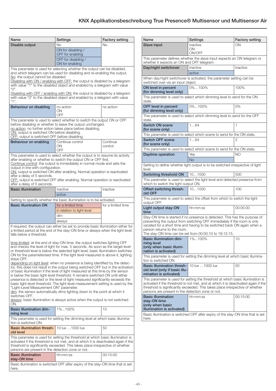| Name                                                                                                                                                                                                                                                                                                                                                                                                                                                                                                                                                                                                                                                                                                                                                                                                                                                                                                                                                                                                                                                                                          | <b>Settings</b>                                                                                                                                                                                                                                        | <b>Factory setting</b> |
|-----------------------------------------------------------------------------------------------------------------------------------------------------------------------------------------------------------------------------------------------------------------------------------------------------------------------------------------------------------------------------------------------------------------------------------------------------------------------------------------------------------------------------------------------------------------------------------------------------------------------------------------------------------------------------------------------------------------------------------------------------------------------------------------------------------------------------------------------------------------------------------------------------------------------------------------------------------------------------------------------------------------------------------------------------------------------------------------------|--------------------------------------------------------------------------------------------------------------------------------------------------------------------------------------------------------------------------------------------------------|------------------------|
| Disable output                                                                                                                                                                                                                                                                                                                                                                                                                                                                                                                                                                                                                                                                                                                                                                                                                                                                                                                                                                                                                                                                                | No                                                                                                                                                                                                                                                     | <b>No</b>              |
|                                                                                                                                                                                                                                                                                                                                                                                                                                                                                                                                                                                                                                                                                                                                                                                                                                                                                                                                                                                                                                                                                               | ON for disabling /                                                                                                                                                                                                                                     |                        |
|                                                                                                                                                                                                                                                                                                                                                                                                                                                                                                                                                                                                                                                                                                                                                                                                                                                                                                                                                                                                                                                                                               | OFF for enabling<br>OFF for disabling /                                                                                                                                                                                                                |                        |
|                                                                                                                                                                                                                                                                                                                                                                                                                                                                                                                                                                                                                                                                                                                                                                                                                                                                                                                                                                                                                                                                                               | ON for enabling                                                                                                                                                                                                                                        |                        |
|                                                                                                                                                                                                                                                                                                                                                                                                                                                                                                                                                                                                                                                                                                                                                                                                                                                                                                                                                                                                                                                                                               | This parameter is used for selecting whether the output can be disabled,<br>and which telegram can be used for disabling and re-enabling the output.                                                                                                   |                        |
| No: the output cannot be disabled.                                                                                                                                                                                                                                                                                                                                                                                                                                                                                                                                                                                                                                                                                                                                                                                                                                                                                                                                                                                                                                                            | Disabling with ON / enabling with OFF: the output is disabled by a telegram<br>with value "1" to the disabled object and enabled by a telegram with value                                                                                              |                        |
| $"()"$ .<br>"1".                                                                                                                                                                                                                                                                                                                                                                                                                                                                                                                                                                                                                                                                                                                                                                                                                                                                                                                                                                                                                                                                              | Disabling with OFF / enabling with ON: the output is disabled by a telegram<br>with value "0" to the disabled object and enabled by a telegram with value                                                                                              |                        |
| Behaviour on disabling                                                                                                                                                                                                                                                                                                                                                                                                                                                                                                                                                                                                                                                                                                                                                                                                                                                                                                                                                                                                                                                                        | no action<br>ΟN<br>OFF                                                                                                                                                                                                                                 | no action              |
| ON: output is switched ON before disabling.<br>OFF: output is switched OFF before disabling.                                                                                                                                                                                                                                                                                                                                                                                                                                                                                                                                                                                                                                                                                                                                                                                                                                                                                                                                                                                                  | This parameter is used to select whether to switch the output ON or OFF<br>before disabling or whether to leave the output unchanged.<br>no action: no further action takes place before disabling.                                                    |                        |
| Behaviour on enabling                                                                                                                                                                                                                                                                                                                                                                                                                                                                                                                                                                                                                                                                                                                                                                                                                                                                                                                                                                                                                                                                         | Continue control<br>ON<br>OFF                                                                                                                                                                                                                          | Continue<br>control    |
| This parameter is used to select whether the output is to resume its activity<br>after enabling or whether to switch the output ON or OFF first.<br>Continue control: the output is immediately in normal mode and sets the<br>output in line with configuration.<br>ON: output is switched ON after enabling. Normal operation is reactivated<br>after a delay of 5 seconds.<br>OFF: output is switched OFF after enabling. Normal operation is reactivated                                                                                                                                                                                                                                                                                                                                                                                                                                                                                                                                                                                                                                  |                                                                                                                                                                                                                                                        |                        |
| after a delay of 5 seconds.<br><b>Basic illumination</b>                                                                                                                                                                                                                                                                                                                                                                                                                                                                                                                                                                                                                                                                                                                                                                                                                                                                                                                                                                                                                                      | inactive                                                                                                                                                                                                                                               | inactive               |
|                                                                                                                                                                                                                                                                                                                                                                                                                                                                                                                                                                                                                                                                                                                                                                                                                                                                                                                                                                                                                                                                                               | active                                                                                                                                                                                                                                                 |                        |
|                                                                                                                                                                                                                                                                                                                                                                                                                                                                                                                                                                                                                                                                                                                                                                                                                                                                                                                                                                                                                                                                                               | Setting to specify whether the basic illumination is to be activated.                                                                                                                                                                                  |                        |
| <b>Basic illumination ON</b>                                                                                                                                                                                                                                                                                                                                                                                                                                                                                                                                                                                                                                                                                                                                                                                                                                                                                                                                                                                                                                                                  | for a limited time                                                                                                                                                                                                                                     | for a limited time     |
|                                                                                                                                                                                                                                                                                                                                                                                                                                                                                                                                                                                                                                                                                                                                                                                                                                                                                                                                                                                                                                                                                               | in relation to light level                                                                                                                                                                                                                             |                        |
|                                                                                                                                                                                                                                                                                                                                                                                                                                                                                                                                                                                                                                                                                                                                                                                                                                                                                                                                                                                                                                                                                               | dim<br>always                                                                                                                                                                                                                                          |                        |
| If required, the output can either be set to provide basic illumination either for<br>a limited period at the end of the stay-ON time or always when the light level<br>falls below a threshold.                                                                                                                                                                                                                                                                                                                                                                                                                                                                                                                                                                                                                                                                                                                                                                                                                                                                                              |                                                                                                                                                                                                                                                        |                        |
| time-limited: at the end of stay-ON time, the output switches lighting OFF<br>and checks the level of light for max. 5 seconds. As soon as the target level<br>or threshold level is below the selected light level, basic illumination switches<br>ON for the parameterised time. If the light level measured is above it, lighting<br>stavs OFF.<br>depending on light level: when no presence is being identified by the detec-<br>tor, this does not result in the output being switched OFF but in the activation<br>of basic illumination if the level of light measured at this time by the sensor<br>is below the basic light-level threshold. It remains switched ON until either<br>presence is detected or the level of light measured significantly exceeds the<br>basic light-level threshold. The light-level measurement setting is used by the<br>"Light-Level Measurement ON" parameter.<br>dim: the sensor automatically dims lighting down to the point at which it<br>switches OFF.<br>always: basic illumination is always active when the output is not switched<br>ON. |                                                                                                                                                                                                                                                        |                        |
| <b>Basic illumination dim-</b><br>ming level                                                                                                                                                                                                                                                                                                                                                                                                                                                                                                                                                                                                                                                                                                                                                                                                                                                                                                                                                                                                                                                  | 1%100%                                                                                                                                                                                                                                                 | 10                     |
| tion is switched ON.                                                                                                                                                                                                                                                                                                                                                                                                                                                                                                                                                                                                                                                                                                                                                                                                                                                                                                                                                                                                                                                                          | This parameter is used for setting the dimming level at which basic illumina-                                                                                                                                                                          |                        |
| <b>Basic illumination thresh-</b><br>old level                                                                                                                                                                                                                                                                                                                                                                                                                                                                                                                                                                                                                                                                                                                                                                                                                                                                                                                                                                                                                                                | 10 lux  1000 lux                                                                                                                                                                                                                                       | 50                     |
| persons are present in the detection zone or not.                                                                                                                                                                                                                                                                                                                                                                                                                                                                                                                                                                                                                                                                                                                                                                                                                                                                                                                                                                                                                                             | This parameter is used for setting the threshold at which basic illumination is<br>activated if the threshold is not met, and at which it is deactivated again if the<br>threshold is significantly exceeded. This takes place irrespective of whether |                        |
| <b>Basic illumination</b>                                                                                                                                                                                                                                                                                                                                                                                                                                                                                                                                                                                                                                                                                                                                                                                                                                                                                                                                                                                                                                                                     | hh:mm:ss                                                                                                                                                                                                                                               | 00:15:00               |
| stay-ON time                                                                                                                                                                                                                                                                                                                                                                                                                                                                                                                                                                                                                                                                                                                                                                                                                                                                                                                                                                                                                                                                                  |                                                                                                                                                                                                                                                        |                        |

| Name                                                                                                                                                                                                                                                                                                                        | Settings                                                                        | <b>Factory setting</b> |
|-----------------------------------------------------------------------------------------------------------------------------------------------------------------------------------------------------------------------------------------------------------------------------------------------------------------------------|---------------------------------------------------------------------------------|------------------------|
| Slave input                                                                                                                                                                                                                                                                                                                 | inactive                                                                        | ON                     |
|                                                                                                                                                                                                                                                                                                                             | ON<br>ON/OFF                                                                    |                        |
|                                                                                                                                                                                                                                                                                                                             | This parameter defines whether the slave input expects an ON telegram or        |                        |
| whether it expects an ON and OFF telegram.                                                                                                                                                                                                                                                                                  |                                                                                 |                        |
| Day/night switchover                                                                                                                                                                                                                                                                                                        | inactive                                                                        | inactive               |
|                                                                                                                                                                                                                                                                                                                             | active                                                                          |                        |
| switched over via an input object.                                                                                                                                                                                                                                                                                          | When day/night switchover is activated, the parameter setting can be            |                        |
| ON level in percent<br>(for dimming level only)                                                                                                                                                                                                                                                                             | 0%100%                                                                          | 100%                   |
| state.                                                                                                                                                                                                                                                                                                                      | This parameter is used to select which dimming level to send for the ON         |                        |
| OFF level in percent<br>(for dimming level only)                                                                                                                                                                                                                                                                            | 0%100%                                                                          | 0%                     |
| state.                                                                                                                                                                                                                                                                                                                      | This parameter is used to select which dimming level to send for the OFF        |                        |
| <b>Switch ON scene</b><br>(for scene only)                                                                                                                                                                                                                                                                                  | 164                                                                             | 1                      |
|                                                                                                                                                                                                                                                                                                                             | This parameter is used to select which scene to send for the ON state.          |                        |
| <b>Switch OFF scene</b><br>(for scene only)                                                                                                                                                                                                                                                                                 | 164                                                                             | 2                      |
|                                                                                                                                                                                                                                                                                                                             | This parameter is used to select which scene to send for the ON state.          |                        |
| Daytime operation                                                                                                                                                                                                                                                                                                           | Yes                                                                             | ΝO                     |
|                                                                                                                                                                                                                                                                                                                             | <b>No</b>                                                                       |                        |
| level.                                                                                                                                                                                                                                                                                                                      | Setting to define whether light output is to be switched irrespective of light  |                        |
| Switching threshold ON                                                                                                                                                                                                                                                                                                      | 101000                                                                          | 500                    |
| which to switch the light output ON.                                                                                                                                                                                                                                                                                        | This parameter is used to select the light level and detected presence from     |                        |
| Offset switching thresh-                                                                                                                                                                                                                                                                                                    | 101000                                                                          | 100                    |
| old OFF                                                                                                                                                                                                                                                                                                                     | This parameter is used to select the offset from which to switch the light      |                        |
| output OFF.                                                                                                                                                                                                                                                                                                                 |                                                                                 |                        |
| Light output stay-ON<br>time                                                                                                                                                                                                                                                                                                | hh:mm:ss                                                                        | 00:05:00               |
| Stay-ON time is started if no presence is detected. This has the purpose of<br>preventing the output from switching OFF immediately if the room is only<br>vacated for a short time and having to be switched back ON again when a<br>person returns to the room.<br>The stay-ON time can be set from 00:00:10 to 18:12:15. |                                                                                 |                        |
| <b>Basic illumination dim-</b><br>ming level<br>(only when basic illumi-<br>nation is activated)                                                                                                                                                                                                                            | 1%100%                                                                          | 10                     |
| This parameter is used for setting the dimming level at which basic illumina-<br>tion is switched ON.                                                                                                                                                                                                                       |                                                                                 |                        |
| <b>Basic illumination thresh-</b><br>old level (only if basic illu-<br>mination is activated)                                                                                                                                                                                                                               | 10 lux  1000 lux                                                                | 50                     |
| This parameter is used for setting the threshold at which basic illumination is<br>activated if the threshold is not met, and at which it is deactivated again if the<br>threshold is significantly exceeded. This takes place irrespective of whether<br>persons are present in the detection zone or not.                 |                                                                                 |                        |
| <b>Basic illumination</b><br>stay-ON time<br>(only when basic<br>illumination is activated)                                                                                                                                                                                                                                 | hh:mm:ss                                                                        | 00:15:00               |
| here.                                                                                                                                                                                                                                                                                                                       | Basic illumination is switched OFF after expiry of the stay-ON time that is set |                        |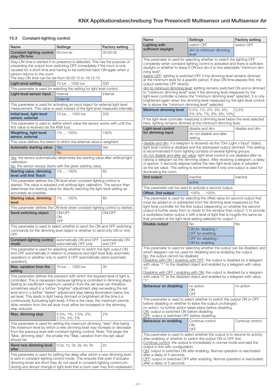## <span id="page-16-0"></span>10.3 Constant-lighting control

| Name                                                                                                                                                                                                                                                                                                                                                                                                                                                                                                                                                                                                                                                                            | Settings                                                                                                                                                          | <b>Factory setting</b>      |
|---------------------------------------------------------------------------------------------------------------------------------------------------------------------------------------------------------------------------------------------------------------------------------------------------------------------------------------------------------------------------------------------------------------------------------------------------------------------------------------------------------------------------------------------------------------------------------------------------------------------------------------------------------------------------------|-------------------------------------------------------------------------------------------------------------------------------------------------------------------|-----------------------------|
| Constant-lighting control<br>stav-ON time                                                                                                                                                                                                                                                                                                                                                                                                                                                                                                                                                                                                                                       | hh:mm:ss                                                                                                                                                          | 00:05:00                    |
| Stay-ON time is started if no presence is detected. This has the purpose of<br>preventing the output from switching OFF immediately if the room is only<br>vacated for a short time and having to be switched back ON again when a<br>person returns to the room.                                                                                                                                                                                                                                                                                                                                                                                                               |                                                                                                                                                                   |                             |
| Light-level setting                                                                                                                                                                                                                                                                                                                                                                                                                                                                                                                                                                                                                                                             | The stay-ON time can be set from 00:00:10 to 18:12:15.<br>10 lux 1000 lux                                                                                         | 500                         |
|                                                                                                                                                                                                                                                                                                                                                                                                                                                                                                                                                                                                                                                                                 | This parameter is used for selecting the setting for light level control.                                                                                         |                             |
| Light-level sensor input                                                                                                                                                                                                                                                                                                                                                                                                                                                                                                                                                                                                                                                        | Internal                                                                                                                                                          | Internal                    |
|                                                                                                                                                                                                                                                                                                                                                                                                                                                                                                                                                                                                                                                                                 | External                                                                                                                                                          |                             |
|                                                                                                                                                                                                                                                                                                                                                                                                                                                                                                                                                                                                                                                                                 | This parameter is used for activating an input object for external light-level<br>measurement. This value is used instead of the light level measured internally. |                             |
| Initial level, light-level<br>sensor, external                                                                                                                                                                                                                                                                                                                                                                                                                                                                                                                                                                                                                                  | 10 lux  1000 lux                                                                                                                                                  | 200                         |
| first value is received via the KNX bus.                                                                                                                                                                                                                                                                                                                                                                                                                                                                                                                                                                                                                                        | This parameter is used to define which value the sensor works with until the                                                                                      |                             |
| Weighting, light-level<br>sensor, external                                                                                                                                                                                                                                                                                                                                                                                                                                                                                                                                                                                                                                      | 1%  100%                                                                                                                                                          | 100%                        |
|                                                                                                                                                                                                                                                                                                                                                                                                                                                                                                                                                                                                                                                                                 | This value defines the extent to which the external value is weighted.                                                                                            |                             |
| Automatic starting value                                                                                                                                                                                                                                                                                                                                                                                                                                                                                                                                                                                                                                                        | Yes                                                                                                                                                               | Yes                         |
|                                                                                                                                                                                                                                                                                                                                                                                                                                                                                                                                                                                                                                                                                 | <b>No</b>                                                                                                                                                         |                             |
| calibration.                                                                                                                                                                                                                                                                                                                                                                                                                                                                                                                                                                                                                                                                    | Yes: the sensor automatically determines the starting value after artificial light                                                                                |                             |
| Starting value, dimming                                                                                                                                                                                                                                                                                                                                                                                                                                                                                                                                                                                                                                                         | No: the sensor always starts with the given starting value.<br>1%  100%                                                                                           | 80                          |
| level until first Teach                                                                                                                                                                                                                                                                                                                                                                                                                                                                                                                                                                                                                                                         |                                                                                                                                                                   |                             |
| This parameter defines the ON level when constant-lighting control is<br>started. The value is adopted until artificial light calibration. The sensor then<br>determines the starting value for directly reaching the light-level setting as<br>accurately as possible.                                                                                                                                                                                                                                                                                                                                                                                                         |                                                                                                                                                                   |                             |
| <b>Starting value, dimming</b><br>level                                                                                                                                                                                                                                                                                                                                                                                                                                                                                                                                                                                                                                         | 1%  100%                                                                                                                                                          | 80                          |
|                                                                                                                                                                                                                                                                                                                                                                                                                                                                                                                                                                                                                                                                                 | This parameter defines the ON level when constant-lighting control is started.                                                                                    |                             |
| Send switching object                                                                                                                                                                                                                                                                                                                                                                                                                                                                                                                                                                                                                                                           | ON/OFF<br>ON<br>OFF                                                                                                                                               | ON/OFF                      |
| OFF.                                                                                                                                                                                                                                                                                                                                                                                                                                                                                                                                                                                                                                                                            | This parameter is used to select whether to send the ON and OFF switching<br>commands for the dimming level object or whether to send only ON or only             |                             |
| Constant-lighting control<br>mode                                                                                                                                                                                                                                                                                                                                                                                                                                                                                                                                                                                                                                               | automatically ON and OFF<br>automatically OFF only                                                                                                                | automatically ON<br>and OFF |
| This parameter is used for selecting whether to switch the light output ON<br>and OFF automatically in relation to presence and light level (fully automatic<br>operation) or whether only to switch it OFF automatically (semi-automatic<br>operation).                                                                                                                                                                                                                                                                                                                                                                                                                        |                                                                                                                                                                   |                             |
| Max, variation from the<br>setting                                                                                                                                                                                                                                                                                                                                                                                                                                                                                                                                                                                                                                              | 10 lux  1000 lux                                                                                                                                                  | 30                          |
| This parameter defines the precision with which the required level of light is<br>controlled. This is necessary because lighting is controlled in dimming steps.<br>Setting an insufficient maximum variation from the set level can therefore<br>sometimes result in a further "brighter" adjustment step exceeding the set<br>level and in a further "darker" adjustment step taking illumination below the<br>set level. This leads to light being dimmed or brightened all the time (i.e.<br>continuously fluctuating light level). If this is the case, the maximum permis-<br>sible variation from the set level must either be increased or the dimming<br>step reduced. |                                                                                                                                                                   |                             |
| Max. dimming step                                                                                                                                                                                                                                                                                                                                                                                                                                                                                                                                                                                                                                                               | $0.5\%$ ; 1%; 1.5%; 2%;<br>2.5%; 3%; 5%                                                                                                                           | 2%                          |
| This parameter is used for setting the maximum dimming "step" (this being<br>the maximum level by which a new dimming level may increase or decrease<br>from the previous level with constant-lighting control). Note: The larger the<br>"Max. dimming step", the smaller the "Max. variation from the set value"<br>should be.                                                                                                                                                                                                                                                                                                                                                 |                                                                                                                                                                   |                             |
| Send new dimming level<br>after                                                                                                                                                                                                                                                                                                                                                                                                                                                                                                                                                                                                                                                 | 0.5s; 1s; 2s; 3s; 4s; 5s                                                                                                                                          | 2s                          |
| This parameter is used for setting the delay after which a new dimming level<br>is sent in constant-lighting control mode. This ensures that even if actuator<br>dimming times are short they do not result in constant-lighting control pro-<br>ducing any abrupt change in light level that a room user may find unpleasant.                                                                                                                                                                                                                                                                                                                                                  |                                                                                                                                                                   |                             |

| Name                                                                                                                                                                                                                                                                                                                                                                                                                                                                                                                                 | Settings                                                                                                                                                                                                                                                                                                                                                                                                                                                                                                                                                                   | <b>Factory setting</b> |  |
|--------------------------------------------------------------------------------------------------------------------------------------------------------------------------------------------------------------------------------------------------------------------------------------------------------------------------------------------------------------------------------------------------------------------------------------------------------------------------------------------------------------------------------------|----------------------------------------------------------------------------------------------------------------------------------------------------------------------------------------------------------------------------------------------------------------------------------------------------------------------------------------------------------------------------------------------------------------------------------------------------------------------------------------------------------------------------------------------------------------------------|------------------------|--|
| <b>Lighting with</b>                                                                                                                                                                                                                                                                                                                                                                                                                                                                                                                 | switch OFF                                                                                                                                                                                                                                                                                                                                                                                                                                                                                                                                                                 | switch OFF             |  |
| sufficient daylight                                                                                                                                                                                                                                                                                                                                                                                                                                                                                                                  | dim to minimum dimming<br>level                                                                                                                                                                                                                                                                                                                                                                                                                                                                                                                                            |                        |  |
| This parameter is used for selecting whether to switch the lighting OFF<br>completely when constant-lighting control is activated and there is sufficient<br>daylight or whether to leave it ON but dim it to the selectable "minimum dim-<br>ming level".<br>switch OFF: lighting is switched OFF if the dimming level remains dimmed                                                                                                                                                                                               |                                                                                                                                                                                                                                                                                                                                                                                                                                                                                                                                                                            |                        |  |
| output switches OFF directly.                                                                                                                                                                                                                                                                                                                                                                                                                                                                                                        | at the minimum level for a specific period. If stay-ON time elapses first, the                                                                                                                                                                                                                                                                                                                                                                                                                                                                                             |                        |  |
|                                                                                                                                                                                                                                                                                                                                                                                                                                                                                                                                      | dim to minimum dimming level: lighting remains switched ON and is dimmed<br>to "minimum dimming level" even if the dimming level measured by the<br>light-level controller is below the "minimum dimming level" selected. It is only<br>brightened again when the dimming level measured by the light-level control-<br>ler is above the "minimum dimming level" selected.                                                                                                                                                                                                 |                        |  |
| Minimum dimming level                                                                                                                                                                                                                                                                                                                                                                                                                                                                                                                | 0.5%; 1%; 2%; 3%; 4%;<br>5%; 6%; 7%; 8%; 9%; 10%                                                                                                                                                                                                                                                                                                                                                                                                                                                                                                                           | 0.5%                   |  |
|                                                                                                                                                                                                                                                                                                                                                                                                                                                                                                                                      | If the light-level controller measures a dimming level below the level selected<br>here, lighting remains dimmed at the minimum dimming level.                                                                                                                                                                                                                                                                                                                                                                                                                             |                        |  |
| Light-level control<br>for dimming input                                                                                                                                                                                                                                                                                                                                                                                                                                                                                             | disable and dim<br>do not disable and alter<br>setting                                                                                                                                                                                                                                                                                                                                                                                                                                                                                                                     | disable and dim        |  |
| illuminating the room.                                                                                                                                                                                                                                                                                                                                                                                                                                                                                                               | disable and dim: if a telegram is received via the "Dim Light x Input" object,<br>light-level control is disabled and the addressed output dimmed. This setting<br>is recommended if room lighting consists of several lighting groups.<br>do not disable and alter set value: light-level control is not disabled after re-<br>ceiving a telegram via the dimming object. After receiving a telegram, a delay<br>of approx. 5 seconds elapses before the new light-level value is adopted<br>as the set value. This setting is recommended if only one output is used for |                        |  |
| 2nd output                                                                                                                                                                                                                                                                                                                                                                                                                                                                                                                           | inactive                                                                                                                                                                                                                                                                                                                                                                                                                                                                                                                                                                   | inactive               |  |
|                                                                                                                                                                                                                                                                                                                                                                                                                                                                                                                                      | active                                                                                                                                                                                                                                                                                                                                                                                                                                                                                                                                                                     |                        |  |
|                                                                                                                                                                                                                                                                                                                                                                                                                                                                                                                                      | This parameter can be used to activate a second output.                                                                                                                                                                                                                                                                                                                                                                                                                                                                                                                    |                        |  |
| Offset, 2nd output                                                                                                                                                                                                                                                                                                                                                                                                                                                                                                                   | $-100\%$ 100%                                                                                                                                                                                                                                                                                                                                                                                                                                                                                                                                                              |                        |  |
| This parameter is used for selecting the offset value for second output that<br>must be added to or subtracted from the dimming level measured by the<br>light-level controller for the first output (depending on whether the second<br>output is further away from or closer to the window than output 1) to provide<br>a workplace below output 2 with a level of light that is roughly the same as<br>that provided at the light-level setting selected for output 1.                                                            |                                                                                                                                                                                                                                                                                                                                                                                                                                                                                                                                                                            |                        |  |
| Disable output                                                                                                                                                                                                                                                                                                                                                                                                                                                                                                                       | No                                                                                                                                                                                                                                                                                                                                                                                                                                                                                                                                                                         | No                     |  |
|                                                                                                                                                                                                                                                                                                                                                                                                                                                                                                                                      | ON for disabling /<br>OFF for enabling                                                                                                                                                                                                                                                                                                                                                                                                                                                                                                                                     |                        |  |
|                                                                                                                                                                                                                                                                                                                                                                                                                                                                                                                                      | OFF for disabling /<br>ON for enabling                                                                                                                                                                                                                                                                                                                                                                                                                                                                                                                                     |                        |  |
| This parameter is used for selecting whether the output can be disabled, and<br>which telegram can be used for disabling and re-enabling the output.<br>No: the output cannot be disabled.<br>Disabling with ON / enabling with OFF: the output is disabled by a telegram<br>with value "1" to the disabled object and enabled by a telegram with value<br>"О".<br>Disabling with OFF / enabling with ON: the output is disabled by a telegram<br>with value "0" to the disabled object and enabled by a telegram with value<br>"1". |                                                                                                                                                                                                                                                                                                                                                                                                                                                                                                                                                                            |                        |  |
| Behaviour on disabling                                                                                                                                                                                                                                                                                                                                                                                                                                                                                                               | no action<br>ON<br>OFF                                                                                                                                                                                                                                                                                                                                                                                                                                                                                                                                                     | no action              |  |
| This parameter is used to select whether to switch the output ON or OFF<br>before disabling or whether to leave the output unchanged.<br>no action: no further action takes place before disabling.<br>ON: output is switched ON before disabling.<br>OFF: output is switched OFF before disabling.                                                                                                                                                                                                                                  |                                                                                                                                                                                                                                                                                                                                                                                                                                                                                                                                                                            |                        |  |
| Behaviour on enabling                                                                                                                                                                                                                                                                                                                                                                                                                                                                                                                | Continue control<br>ΟN<br>OFF                                                                                                                                                                                                                                                                                                                                                                                                                                                                                                                                              | Continue control       |  |
|                                                                                                                                                                                                                                                                                                                                                                                                                                                                                                                                      |                                                                                                                                                                                                                                                                                                                                                                                                                                                                                                                                                                            |                        |  |
| This parameter is used to select whether the output is to resume its activity<br>after enabling or whether to switch the output ON or OFF first.<br>Continue control: the output is immediately in normal mode and sets the<br>output in line with configuration.<br>ON: output is switched ON after enabling. Normal operation is reactivated<br>after a delay of 5 seconds.                                                                                                                                                        |                                                                                                                                                                                                                                                                                                                                                                                                                                                                                                                                                                            |                        |  |

**OFF:** output is switched OFF after enabling. Normal operation is reactivated after a delay of 5 seconds.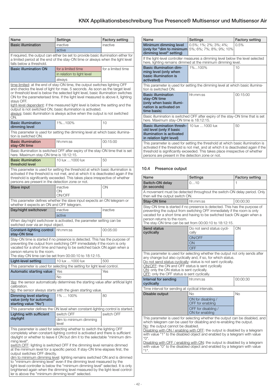$\overline{1}$ 

<span id="page-17-0"></span>

| Name                                                                                                                                                                                                                                                                                                                                                                                                                                                                                                                                                                                       | Settings                                                                                                                                                             | <b>Factory setting</b> |
|--------------------------------------------------------------------------------------------------------------------------------------------------------------------------------------------------------------------------------------------------------------------------------------------------------------------------------------------------------------------------------------------------------------------------------------------------------------------------------------------------------------------------------------------------------------------------------------------|----------------------------------------------------------------------------------------------------------------------------------------------------------------------|------------------------|
| <b>Basic illumination</b>                                                                                                                                                                                                                                                                                                                                                                                                                                                                                                                                                                  | inactive                                                                                                                                                             | inactive               |
|                                                                                                                                                                                                                                                                                                                                                                                                                                                                                                                                                                                            | active                                                                                                                                                               |                        |
| falls below a threshold.                                                                                                                                                                                                                                                                                                                                                                                                                                                                                                                                                                   | If required, the output can either be set to provide basic illumination either for<br>a limited period at the end of the stay-ON time or always when the light level |                        |
| <b>Basic illumination ON</b>                                                                                                                                                                                                                                                                                                                                                                                                                                                                                                                                                               | for a limited time                                                                                                                                                   | for a limited time     |
|                                                                                                                                                                                                                                                                                                                                                                                                                                                                                                                                                                                            | in relation to light level                                                                                                                                           |                        |
|                                                                                                                                                                                                                                                                                                                                                                                                                                                                                                                                                                                            | always                                                                                                                                                               |                        |
| time-limited: at the end of stay-ON time, the output switches lighting OFF<br>and checks the level of light for max. 5 seconds. As soon as the target level<br>or threshold level is below the selected light level, basic illumination switches<br>ON for the parameterised time. If the light level measured is above it, lighting<br>stays OFF.<br>light-level dependent: if the measured light level is below the setting and the<br>output is not switched ON, basic illumination is activated.<br>always: basic illumination is always active when the output is not switched<br>ON. |                                                                                                                                                                      |                        |
| <b>Basic illumination</b><br>dimming level                                                                                                                                                                                                                                                                                                                                                                                                                                                                                                                                                 | 1%100%                                                                                                                                                               | 10                     |
| tion is switched ON.                                                                                                                                                                                                                                                                                                                                                                                                                                                                                                                                                                       | This parameter is used for setting the dimming level at which basic illumina-                                                                                        |                        |
| <b>Basic illumination</b><br>stay-ON time                                                                                                                                                                                                                                                                                                                                                                                                                                                                                                                                                  | hh:mm:ss                                                                                                                                                             | 00:15:00               |
| here. Maximum stay-ON time is 18:12:15.                                                                                                                                                                                                                                                                                                                                                                                                                                                                                                                                                    | Basic illumination is switched OFF after expiry of the stay-ON time that is set                                                                                      |                        |
| <b>Basic illumination</b><br>threshold level                                                                                                                                                                                                                                                                                                                                                                                                                                                                                                                                               | 10 lux  1000 lux                                                                                                                                                     | 50                     |
| This parameter is used for setting the threshold at which basic illumination is<br>activated if the threshold is not met, and at which it is deactivated again if the<br>threshold is significantly exceeded. This takes place irrespective of whether<br>persons are present in the detection zone or not.                                                                                                                                                                                                                                                                                |                                                                                                                                                                      |                        |
| Slave input                                                                                                                                                                                                                                                                                                                                                                                                                                                                                                                                                                                | inactive<br>ΟN<br>ON/OFF                                                                                                                                             | ON                     |
| whether it expects an ON and OFF telegram.                                                                                                                                                                                                                                                                                                                                                                                                                                                                                                                                                 | This parameter defines whether the slave input expects an ON telegram or                                                                                             |                        |
| Day/night switchover                                                                                                                                                                                                                                                                                                                                                                                                                                                                                                                                                                       | inactive                                                                                                                                                             | inactive               |
|                                                                                                                                                                                                                                                                                                                                                                                                                                                                                                                                                                                            | active                                                                                                                                                               |                        |
| switched over via an input object.                                                                                                                                                                                                                                                                                                                                                                                                                                                                                                                                                         | When day/night switchover is activated, the parameter setting can be                                                                                                 |                        |
| <b>Constant-lighting control</b> hh:mm:ss<br>stay-ON time                                                                                                                                                                                                                                                                                                                                                                                                                                                                                                                                  |                                                                                                                                                                      | 00:05:00               |
| Stay-ON time is started if no presence is detected. This has the purpose of<br>preventing the output from switching OFF immediately if the room is only<br>vacated for a short time and having to be switched back ON again when a<br>person returns to the room.<br>The stay-ON time can be set from 00:00:10 to 18:12:15.                                                                                                                                                                                                                                                                |                                                                                                                                                                      |                        |
| Light-level setting                                                                                                                                                                                                                                                                                                                                                                                                                                                                                                                                                                        | 10 lux  1000 lux                                                                                                                                                     | 500                    |
|                                                                                                                                                                                                                                                                                                                                                                                                                                                                                                                                                                                            | This parameter is used for selecting the setting for light level control.                                                                                            |                        |
| Automatic starting value                                                                                                                                                                                                                                                                                                                                                                                                                                                                                                                                                                   | Yes                                                                                                                                                                  | Yes                    |
| calibration.                                                                                                                                                                                                                                                                                                                                                                                                                                                                                                                                                                               | No<br>Yes: the sensor automatically determines the starting value after artificial light                                                                             |                        |
|                                                                                                                                                                                                                                                                                                                                                                                                                                                                                                                                                                                            | No: the sensor always starts with the given starting value.                                                                                                          |                        |
| Dimming level starting<br>value (only for automatic<br>starting value "No")                                                                                                                                                                                                                                                                                                                                                                                                                                                                                                                | 1%  100%                                                                                                                                                             | 80                     |
|                                                                                                                                                                                                                                                                                                                                                                                                                                                                                                                                                                                            | This parameter defines the ON level when constant-lighting control is started.                                                                                       |                        |
| Lighting with sufficient                                                                                                                                                                                                                                                                                                                                                                                                                                                                                                                                                                   | switch OFF                                                                                                                                                           | switch OFF             |
| daylight                                                                                                                                                                                                                                                                                                                                                                                                                                                                                                                                                                                   | dim to minimum dimming<br>level                                                                                                                                      |                        |
| This parameter is used for selecting whether to switch the lighting OFF<br>completely when constant-lighting control is activated and there is sufficient<br>daylight or whether to leave it ON but dim it to the selectable "minimum dim-<br>ming level".<br>switch OFF: lighting is switched OFF if the dimming level remains dimmed<br>at the minimum level for a specific period. If stay-ON time elapses first, the<br>output switches OFF directly.<br>dim to minimum dimming level: lighting remains switched ON and is dimmed                                                      |                                                                                                                                                                      |                        |
|                                                                                                                                                                                                                                                                                                                                                                                                                                                                                                                                                                                            | to "minimum dimming level" even if the dimming level measured by the<br>light-level controller is below the "minimum dimming level" selected It is only              |                        |

light-level controller is below the "minimum dimming level" selected. It is only brightened again when the dimming level measured by the light-level controller is above the "minimum dimming level" selected.

| Name                                                                                                                                                                                                                                                                                                        | Settings                                             | <b>Factory setting</b> |
|-------------------------------------------------------------------------------------------------------------------------------------------------------------------------------------------------------------------------------------------------------------------------------------------------------------|------------------------------------------------------|------------------------|
| Minimum dimming level<br>(only for "dim to minimum)<br>dimming level" setting)                                                                                                                                                                                                                              | $0.5\%$ ; 1%; 2%; 3%; 4%;<br>5%; 6%; 7%; 8%; 9%; 10% | 0.5%                   |
| If the light-level controller measures a dimming level below the level selected<br>here, lighting remains dimmed at the minimum dimming level.                                                                                                                                                              |                                                      |                        |
| <b>Basic illumination dim-</b><br>ming level (only when<br>basic illumination is<br>activated)                                                                                                                                                                                                              | 1%100%                                               | 10                     |
| This parameter is used for setting the dimming level at which basic illumina-<br>tion is switched ON.                                                                                                                                                                                                       |                                                      |                        |
| <b>Basic illumination</b><br>stay-ON time<br>(only when basic illumi-<br>nation is activated on<br>time basis)                                                                                                                                                                                              | hh:mm:ss                                             | 00:15:00               |
| Basic illumination is switched OFF after expiry of the stay-ON time that is set<br>here. Maximum stay-ON time is 18:12:15.                                                                                                                                                                                  |                                                      |                        |
| <b>Basic illumination thresh-</b><br>old level (only if basic<br>illumination is activated<br>in relation light level)                                                                                                                                                                                      | 10 lux  1000 lux                                     | 50                     |
| This parameter is used for setting the threshold at which basic illumination is<br>activated if the threshold is not met, and at which it is deactivated again if the<br>threshold is significantly exceeded. This takes place irrespective of whether<br>persons are present in the detection zone or not. |                                                      |                        |

### 10.4 Presence output

|                                                                                                                                                                                                                                                                                                                                 | Settings                                                                            | <b>Factory setting</b> |
|---------------------------------------------------------------------------------------------------------------------------------------------------------------------------------------------------------------------------------------------------------------------------------------------------------------------------------|-------------------------------------------------------------------------------------|------------------------|
| Switch-ON delay<br>(in seconds)                                                                                                                                                                                                                                                                                                 | 010                                                                                 | 1                      |
| then will the output switch ON.                                                                                                                                                                                                                                                                                                 | A movement must be detected throughout the switch-ON delay period. Only             |                        |
| Stay-ON time                                                                                                                                                                                                                                                                                                                    | hh:mm:ss                                                                            | 00:00:30               |
| Stay-ON time is started if no presence is detected. This has the purpose of<br>preventing the output from switching OFF immediately if the room is only<br>vacated for a short time and having to be switched back ON again when a<br>person returns to the room.<br>The stay-ON time can be set from 00:00:10 to 18:12:15.     |                                                                                     |                        |
| <b>Send status</b><br>cyclically                                                                                                                                                                                                                                                                                                | Do not send status cycli-<br>cally                                                  | ON                     |
|                                                                                                                                                                                                                                                                                                                                 | ON/OFF                                                                              |                        |
|                                                                                                                                                                                                                                                                                                                                 | ON                                                                                  |                        |
|                                                                                                                                                                                                                                                                                                                                 | OFF<br>This parameter is used for selecting whether the output not only sends after |                        |
| any change but also cyclically and, if so, for which status.<br>Do not send status cyclically: status is not sent cyclically.<br>ON/OFF: the ON and OFF status is sent cyclically<br>ON: only the ON status is sent cyclically.<br>OFF: only the OFF status is sent cyclically.<br>Interval for sending<br>00:00:30<br>hh:mm:ss |                                                                                     |                        |
| cyclically                                                                                                                                                                                                                                                                                                                      |                                                                                     |                        |
| Time interval for sending at cyclical intervals.                                                                                                                                                                                                                                                                                |                                                                                     |                        |
|                                                                                                                                                                                                                                                                                                                                 |                                                                                     |                        |
| Disable output                                                                                                                                                                                                                                                                                                                  | No                                                                                  | <b>No</b>              |
|                                                                                                                                                                                                                                                                                                                                 | ON for disabling /<br>OFF for enabling                                              |                        |
|                                                                                                                                                                                                                                                                                                                                 | OFF for disabling /<br>ON for enabling                                              |                        |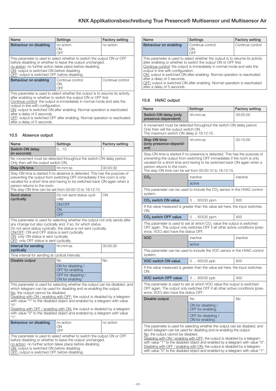<span id="page-18-0"></span>

| Name                                                                                                                                                                                                                                                                                                | <b>Settings</b>               | <b>Factory setting</b> |
|-----------------------------------------------------------------------------------------------------------------------------------------------------------------------------------------------------------------------------------------------------------------------------------------------------|-------------------------------|------------------------|
| Behaviour on disabling                                                                                                                                                                                                                                                                              | no action<br>ON<br>OFF        | no action              |
| This parameter is used to select whether to switch the output ON or OFF<br>before disabling or whether to leave the output unchanged.<br>no action: no further action takes place before disabling.<br>ON: output is switched ON before disabling.<br>OFF: output is switched OFF before disabling. |                               |                        |
| Behaviour on enabling                                                                                                                                                                                                                                                                               | Continue control<br>ΩN<br>OFF | Continue control       |
| This parameter is used to select whether the output is to resume its activity<br>ofter anabling or whathor to quitablish autout $\bigcap I$ or $\bigcap \Gamma$ first                                                                                                                               |                               |                        |

after enabling or whether to switch the output ON or OFF first. Continue control: the output is immediately in normal mode and sets the

output in line with configuration. ON: output is switched ON after enabling. Normal operation is reactivated after a delay of 5 seconds.

OFF: output is switched OFF after enabling. Normal operation is reactivated after a delay of 5 seconds.

## 10.5 Absence output

| Name                                                                                                                                                                                                                                                                                                                                                                                                                                                                                                                                                  | Settings                               | <b>Factory setting</b> |  |
|-------------------------------------------------------------------------------------------------------------------------------------------------------------------------------------------------------------------------------------------------------------------------------------------------------------------------------------------------------------------------------------------------------------------------------------------------------------------------------------------------------------------------------------------------------|----------------------------------------|------------------------|--|
| Switch-ON delay<br>(in seconds)                                                                                                                                                                                                                                                                                                                                                                                                                                                                                                                       | 010                                    |                        |  |
| No movement must be detected throughout the switch-ON delay period.<br>Only then will the output switch ON.                                                                                                                                                                                                                                                                                                                                                                                                                                           |                                        |                        |  |
| Stay-ON time                                                                                                                                                                                                                                                                                                                                                                                                                                                                                                                                          | hh:mm:ss                               | 00:00:30               |  |
| Stay-ON time is started if no absence is detected. This has the purpose of<br>preventing the output from switching OFF immediately if the room is only<br>vacated for a short time and having to be switched back ON again when a<br>person returns to the room.<br>The stay-ON time can be set from 00:00:10 to 18:12:15.                                                                                                                                                                                                                            |                                        |                        |  |
| <b>Send status</b><br>cyclically                                                                                                                                                                                                                                                                                                                                                                                                                                                                                                                      | Do not send status cycli-<br>cally     | ON                     |  |
|                                                                                                                                                                                                                                                                                                                                                                                                                                                                                                                                                       | ON/OFF                                 |                        |  |
|                                                                                                                                                                                                                                                                                                                                                                                                                                                                                                                                                       | ON                                     |                        |  |
|                                                                                                                                                                                                                                                                                                                                                                                                                                                                                                                                                       | OFF                                    |                        |  |
| Do not send status cyclically: the status is not sent cyclically.<br>ON/OFE: ON and OFF status is sent cyclically.<br>ON: only ON status is sent cyclically.<br>OFF: only OFF status is sent cyclically.                                                                                                                                                                                                                                                                                                                                              |                                        |                        |  |
| Interval for sending<br>cyclically                                                                                                                                                                                                                                                                                                                                                                                                                                                                                                                    | hh:mm:ss                               | 00:00:30               |  |
| Time interval for sending at cyclical intervals.                                                                                                                                                                                                                                                                                                                                                                                                                                                                                                      |                                        |                        |  |
| Disable output                                                                                                                                                                                                                                                                                                                                                                                                                                                                                                                                        | No                                     | <b>No</b>              |  |
|                                                                                                                                                                                                                                                                                                                                                                                                                                                                                                                                                       | ON for disabling /<br>OFF for enabling |                        |  |
|                                                                                                                                                                                                                                                                                                                                                                                                                                                                                                                                                       | OFF for disabling /<br>ON for enabling |                        |  |
| This parameter is used for selecting whether the output can be disabled, and<br>which telegram can be used for disabling and re-enabling the output.<br>No: the output cannot be disabled.<br>Disabling with ON / enabling with OFF: the output is disabled by a telegram<br>with value "1" to the disabled object and enabled by a telegram with value<br>$^{\prime\prime}$ O".<br>Disabling with OFF / enabling with ON: the output is disabled by a telegram<br>with value "0" to the disabled object and enabled by a telegram with value<br>"1". |                                        |                        |  |
| Behaviour on disabling                                                                                                                                                                                                                                                                                                                                                                                                                                                                                                                                | no action<br>ON<br>OFF                 | no action              |  |
| This parameter is used to select whether to switch the output ON or OFF<br>before disabling or whether to leave the output unchanged.<br>no action: no further action takes place before disabling.<br>ON: output is switched ON before disabling.<br>OFF: output is switched OFF before disabling.                                                                                                                                                                                                                                                   |                                        |                        |  |

| Name                                                                                             | Settings                                                                                                                                                                                                                                                                                                                                                                               | <b>Factory setting</b> |
|--------------------------------------------------------------------------------------------------|----------------------------------------------------------------------------------------------------------------------------------------------------------------------------------------------------------------------------------------------------------------------------------------------------------------------------------------------------------------------------------------|------------------------|
| Behaviour on enabling                                                                            | Continue control<br><b>ON</b><br>OFF                                                                                                                                                                                                                                                                                                                                                   | Continue control       |
| output in line with configuration.<br>after a delay of 5 seconds.<br>after a delay of 5 seconds. | This parameter is used to select whether the output is to resume its activity<br>after enabling or whether to switch the output ON or OFF first.<br>Continue control: the output is immediately in normal mode and sets the<br>ON: output is switched ON after enabling. Normal operation is reactivated<br>OFF: output is switched ON after enabling. Normal operation is reactivated |                        |

## 10.6 HVAC output

| Name                                                                                                                                                                                                                                                                                                                                                                                                                                                                                                                           | Settings                                                                                                                                                                                                                                                                                     | <b>Factory setting</b> |
|--------------------------------------------------------------------------------------------------------------------------------------------------------------------------------------------------------------------------------------------------------------------------------------------------------------------------------------------------------------------------------------------------------------------------------------------------------------------------------------------------------------------------------|----------------------------------------------------------------------------------------------------------------------------------------------------------------------------------------------------------------------------------------------------------------------------------------------|------------------------|
| Switch-ON delay (only<br>presence-dependent)                                                                                                                                                                                                                                                                                                                                                                                                                                                                                   | hh:mm:ss                                                                                                                                                                                                                                                                                     | 00:05:00               |
| A movement must be detected throughout the switch-ON delay period.<br>Only then will the output switch ON.<br>The maximum switch-ON delay is 18:12:15.                                                                                                                                                                                                                                                                                                                                                                         |                                                                                                                                                                                                                                                                                              |                        |
| <b>Stay-ON time</b><br>(only presence-depend-<br>ent)                                                                                                                                                                                                                                                                                                                                                                                                                                                                          | hh:mm:ss                                                                                                                                                                                                                                                                                     | 00:15:00               |
| person returns to the room.                                                                                                                                                                                                                                                                                                                                                                                                                                                                                                    | Stay-ON time is started if no presence is detected. This has the purpose of<br>preventing the output from switching OFF immediately if the room is only<br>vacated for a short time and having to be switched back ON again when a<br>The stay-ON time can be set from 00:00:10 to 18:12:15. |                        |
| CO <sub>2</sub>                                                                                                                                                                                                                                                                                                                                                                                                                                                                                                                | inactive                                                                                                                                                                                                                                                                                     | inactive               |
|                                                                                                                                                                                                                                                                                                                                                                                                                                                                                                                                | active                                                                                                                                                                                                                                                                                       |                        |
| system.                                                                                                                                                                                                                                                                                                                                                                                                                                                                                                                        | This parameter can be used to include the $CO2$ sensor in the HVAC control                                                                                                                                                                                                                   |                        |
| CO <sub>2</sub> switch ON value                                                                                                                                                                                                                                                                                                                                                                                                                                                                                                | $065535$ ppm                                                                                                                                                                                                                                                                                 | 800                    |
| If the value measured is greater than the value set here, the input switches<br>ON.                                                                                                                                                                                                                                                                                                                                                                                                                                            |                                                                                                                                                                                                                                                                                              |                        |
| CO <sub>2</sub> switch OFF value                                                                                                                                                                                                                                                                                                                                                                                                                                                                                               | $065535$ ppm                                                                                                                                                                                                                                                                                 | 400                    |
| This parameter is used to set at which $CO2$ value the output is switched<br>OFF again. The output only switches OFF if all other active conditions (pres-<br>ence, VOC) also have the status OFF.                                                                                                                                                                                                                                                                                                                             |                                                                                                                                                                                                                                                                                              |                        |
| <b>VOC</b>                                                                                                                                                                                                                                                                                                                                                                                                                                                                                                                     | inactive                                                                                                                                                                                                                                                                                     | inactive               |
|                                                                                                                                                                                                                                                                                                                                                                                                                                                                                                                                | active                                                                                                                                                                                                                                                                                       |                        |
| system.                                                                                                                                                                                                                                                                                                                                                                                                                                                                                                                        | This parameter can be used to include the VOC sensor in the HVAC control                                                                                                                                                                                                                     |                        |
| <b>VOC switch ON value</b>                                                                                                                                                                                                                                                                                                                                                                                                                                                                                                     | $065535$ ppb                                                                                                                                                                                                                                                                                 | 800                    |
| ON.                                                                                                                                                                                                                                                                                                                                                                                                                                                                                                                            | If the value measured is greater than the value set here, the input switches                                                                                                                                                                                                                 |                        |
| <b>VOC switch OFF value</b>                                                                                                                                                                                                                                                                                                                                                                                                                                                                                                    | $065535$ ppb                                                                                                                                                                                                                                                                                 | 400                    |
| This parameter is used to set at which VOC value the output is switched<br>OFF again. The output only switches OFF if all other active conditions (pres-<br>ence, VOC) also have the status OFF.                                                                                                                                                                                                                                                                                                                               |                                                                                                                                                                                                                                                                                              |                        |
| Disable output                                                                                                                                                                                                                                                                                                                                                                                                                                                                                                                 | Nο                                                                                                                                                                                                                                                                                           | <b>No</b>              |
|                                                                                                                                                                                                                                                                                                                                                                                                                                                                                                                                | ON for disabling /<br>OFF for enabling                                                                                                                                                                                                                                                       |                        |
|                                                                                                                                                                                                                                                                                                                                                                                                                                                                                                                                | OFF for disabling /<br>ON for enabling                                                                                                                                                                                                                                                       |                        |
| This parameter is used for selecting whether the output can be disabled, and<br>which telegram can be used for disabling and re-enabling the output.<br>No: the output cannot be disabled.<br>Disabling with ON / enabling with OFF: the output is disabled by a telegram<br>with value "1" to the disabled object and enabled by a telegram with value "0".<br>Disabling with OFF / enabling with ON: the output is disabled by a telegram<br>with value "0" to the disabled object and enabled by a telegram with value "1". |                                                                                                                                                                                                                                                                                              |                        |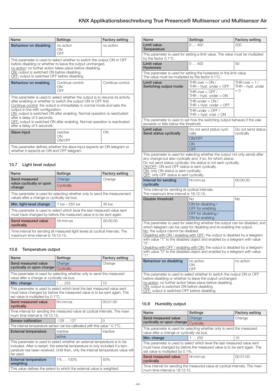<span id="page-19-0"></span>

| Name                                                                                                                                                                                                                                                                                                                                                                                                                                                                                       | Settings                      | <b>Factory setting</b> |
|--------------------------------------------------------------------------------------------------------------------------------------------------------------------------------------------------------------------------------------------------------------------------------------------------------------------------------------------------------------------------------------------------------------------------------------------------------------------------------------------|-------------------------------|------------------------|
| Behaviour on disabling                                                                                                                                                                                                                                                                                                                                                                                                                                                                     | no action<br>ON<br>OFF        | no action              |
| This parameter is used to select whether to switch the output ON or OFF<br>before disabling or whether to leave the output unchanged.<br>no action: no further action takes place before disabling.<br>ON: output is switched ON before disabling.<br>OFF: output is switched OFF before disabling.                                                                                                                                                                                        |                               |                        |
| Behaviour on enabling                                                                                                                                                                                                                                                                                                                                                                                                                                                                      | Continue control<br>ON<br>OFF | Continue control       |
| This parameter is used to select whether the output is to resume its activity<br>after enabling or whether to switch the output ON or OFF first.<br>Continue control: the output is immediately in normal mode and sets the<br>output in line with configuration.<br>ON: output is switched ON after enabling. Normal operation is reactivated<br>after a delay of 5 seconds.<br>OFF: output is switched ON after enabling. Normal operation is reactivated<br>after a delay of 5 seconds. |                               |                        |
| Slave input                                                                                                                                                                                                                                                                                                                                                                                                                                                                                | inactive<br>ON<br>ON/OFF      | ON                     |
| This parameter defines whether the slave input expects an ON telegram or<br>whether it expects an ON and OFF telegram.                                                                                                                                                                                                                                                                                                                                                                     |                               |                        |

# 10.7 Light level output

| Name                                                                                                                                             | Settings           | <b>Factory setting</b> |
|--------------------------------------------------------------------------------------------------------------------------------------------------|--------------------|------------------------|
| Send measured                                                                                                                                    | Change             | Change                 |
| value cyclically or upon<br>change                                                                                                               | Cyclically         |                        |
| This parameter is used for selecting whether only to send the measurement<br>values after a change or cyclically via bus.                        |                    |                        |
| Min. light-level change                                                                                                                          | $1$ lux $-255$ lux | $30$ lux               |
| This parameter is used to select which level the last measured value sent<br>must have changed by before the measured value is to be sent again. |                    |                        |
| Send measured value<br>cyclically                                                                                                                | hh:mm:ss           | 00:00:30               |
| Time interval for sending all measured light levels at cyclical intervals. The<br>maximum time interval is 18:12:15.                             |                    |                        |

## 10.8 Temperature output

| Name                                                                                                                                                                                                                                                        | Settings                                                                   | <b>Factory setting</b> |
|-------------------------------------------------------------------------------------------------------------------------------------------------------------------------------------------------------------------------------------------------------------|----------------------------------------------------------------------------|------------------------|
|                                                                                                                                                                                                                                                             |                                                                            |                        |
| Send measured value                                                                                                                                                                                                                                         | Change                                                                     | Change                 |
| cyclically or upon change                                                                                                                                                                                                                                   | Cyclically                                                                 |                        |
| value after a change or cyclically via bus.                                                                                                                                                                                                                 | This parameter is used for selecting whether only to send the measured     |                        |
| Min. change                                                                                                                                                                                                                                                 | 1255                                                                       | 10                     |
| This parameter is used to select which level the last measured value sent<br>must have changed by before the measured value is to be sent again. The<br>set value is multiplied by 0.1°C.                                                                   |                                                                            |                        |
| Send measured value<br>cyclically                                                                                                                                                                                                                           | hh:mm:ss                                                                   | 00:01:00               |
| Time interval for sending the measured value at cyclical intervals. The maxi-<br>mum time interval is 18:12:15.                                                                                                                                             |                                                                            |                        |
| Sensor calibration                                                                                                                                                                                                                                          | $-128127$                                                                  | $\Omega$               |
|                                                                                                                                                                                                                                                             | The internal temperature sensor can be calibrated with this value * 0.1°C. |                        |
| <b>External temperature</b>                                                                                                                                                                                                                                 | inactive                                                                   | inactive               |
|                                                                                                                                                                                                                                                             | active                                                                     |                        |
| This parameter is used to select whether an external temperature is to be<br>included. After a restart, the external temperature is only included if a tem-<br>perature has been received. Until then, only the internal temperature value will<br>be used. |                                                                            |                        |
| <b>External temperature</b><br>weighting                                                                                                                                                                                                                    | $1\%$ 100%                                                                 | 50%                    |
| This value defines the extent to which the external value is weighted.                                                                                                                                                                                      |                                                                            |                        |

| Name                                                                                                                                                                                                                                                                                                                                                                                                                                                                                                                                 | Settings                                                                                                                                                                                            | <b>Factory setting</b>                        |
|--------------------------------------------------------------------------------------------------------------------------------------------------------------------------------------------------------------------------------------------------------------------------------------------------------------------------------------------------------------------------------------------------------------------------------------------------------------------------------------------------------------------------------------|-----------------------------------------------------------------------------------------------------------------------------------------------------------------------------------------------------|-----------------------------------------------|
| Limit value<br>Temperature                                                                                                                                                                                                                                                                                                                                                                                                                                                                                                           | 0400                                                                                                                                                                                                | 200                                           |
| This parameter is used for setting a limit value. The value must be multiplied<br>by the factor 0.1°C.                                                                                                                                                                                                                                                                                                                                                                                                                               |                                                                                                                                                                                                     |                                               |
| <b>Limit value</b><br><b>Hysteresis</b>                                                                                                                                                                                                                                                                                                                                                                                                                                                                                              | 0400                                                                                                                                                                                                | 50                                            |
| The value must be multiplied by the factor 0.1°C.                                                                                                                                                                                                                                                                                                                                                                                                                                                                                    | This parameter is used for setting the hysteresis to the limit value.                                                                                                                               |                                               |
| <b>Limit value</b><br>Switching output mode                                                                                                                                                                                                                                                                                                                                                                                                                                                                                          | THR over $=$ ON /<br>$THR - hyst.$ under = OFF                                                                                                                                                      | THR over $= 1/$<br>THR - hyst. under<br>$= 0$ |
|                                                                                                                                                                                                                                                                                                                                                                                                                                                                                                                                      | THR over $=$ OFF /<br>THR $-$ hyst. under $=$ ON                                                                                                                                                    |                                               |
|                                                                                                                                                                                                                                                                                                                                                                                                                                                                                                                                      | THR under $=$ ON /<br>THR $+$ hyst. under $=$ OFF                                                                                                                                                   |                                               |
|                                                                                                                                                                                                                                                                                                                                                                                                                                                                                                                                      | THR under $=$ OFF /<br>THR $+$ hyst. over $=$ ON                                                                                                                                                    |                                               |
| exceeds or falls below the threshold.                                                                                                                                                                                                                                                                                                                                                                                                                                                                                                | This parameter is used to set how the switching output behaves if the vale                                                                                                                          |                                               |
| <b>Limit value</b><br>Send status cyclically                                                                                                                                                                                                                                                                                                                                                                                                                                                                                         | Do not send status cycli-<br>cally                                                                                                                                                                  | Do not send status<br>cyclically              |
|                                                                                                                                                                                                                                                                                                                                                                                                                                                                                                                                      | ON/OFF                                                                                                                                                                                              |                                               |
|                                                                                                                                                                                                                                                                                                                                                                                                                                                                                                                                      | <b>ON</b><br><b>OFF</b>                                                                                                                                                                             |                                               |
| OFF: only OFF status is sent cyclically.<br>Interval for sending                                                                                                                                                                                                                                                                                                                                                                                                                                                                     | hh:mm:ss                                                                                                                                                                                            | 00:00:30                                      |
| cyclically<br>Time interval for sending at cyclical intervals.<br>The maximum time interval is 18:12:15.                                                                                                                                                                                                                                                                                                                                                                                                                             |                                                                                                                                                                                                     |                                               |
| Disable threshold                                                                                                                                                                                                                                                                                                                                                                                                                                                                                                                    | No.                                                                                                                                                                                                 | <b>No</b>                                     |
|                                                                                                                                                                                                                                                                                                                                                                                                                                                                                                                                      | ON for disabling /<br>OFF for enabling                                                                                                                                                              |                                               |
|                                                                                                                                                                                                                                                                                                                                                                                                                                                                                                                                      | OFF for disabling /<br>ON for enabling                                                                                                                                                              |                                               |
| This parameter is used for selecting whether the output can be disabled, and<br>which telegram can be used for disabling and re-enabling the output.<br>No: the output cannot be disabled.<br>Disabling with ON / enabling with OFF: the output is disabled by a telegram<br>with value "1" to the disabled object and enabled by a telegram with value<br>"О".<br>Disabling with OFF / enabling with ON: the output is disabled by a telegram<br>with value "0" to the disabled object and enabled by a telegram with value<br>"1". |                                                                                                                                                                                                     |                                               |
| Behaviour on disabling                                                                                                                                                                                                                                                                                                                                                                                                                                                                                                               | no action<br>ON<br>OFF                                                                                                                                                                              | no action                                     |
| ON: output is switched ON before disabling.<br>OFF: output is switched OFF before disabling.                                                                                                                                                                                                                                                                                                                                                                                                                                         | This parameter is used to select whether to switch the output ON or OFF<br>before disabling or whether to leave the output unchanged.<br>no action: no further action takes place before disabling. |                                               |

## 10.9 Humidity output

| Name                                                                                                                                                                                     | Settings   | <b>Factory setting</b> |
|------------------------------------------------------------------------------------------------------------------------------------------------------------------------------------------|------------|------------------------|
| Send measured value                                                                                                                                                                      | Change     | Change                 |
| cyclically or upon change                                                                                                                                                                | Cyclically |                        |
| This parameter is used for selecting whether only to send the measured<br>value after a change or cyclically via bus.                                                                    |            |                        |
| Min. change                                                                                                                                                                              | 1255       | 10                     |
| This parameter is used to select which level the last measured value sent<br>must have changed by before the measured value is to be sent again. The<br>set value is multiplied by 0.1%. |            |                        |
| Send measured value<br>cyclically                                                                                                                                                        | hh:mm:ss   | 00:01:00               |
| Time interval for sending the measured value at cyclical intervals. The maxi-<br>mum time interval is 18:12:15.                                                                          |            |                        |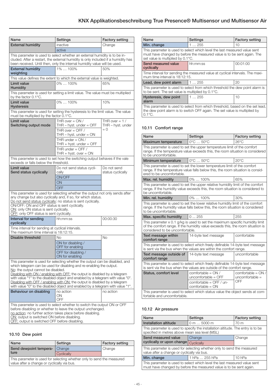<span id="page-20-0"></span>

| Name                                                                                                                                                                                                                                                                                                                                                                                                                                                                                                                           | Settings                                                                                                                                                                                                   | <b>Factory setting</b>                        |
|--------------------------------------------------------------------------------------------------------------------------------------------------------------------------------------------------------------------------------------------------------------------------------------------------------------------------------------------------------------------------------------------------------------------------------------------------------------------------------------------------------------------------------|------------------------------------------------------------------------------------------------------------------------------------------------------------------------------------------------------------|-----------------------------------------------|
| <b>External humidity</b>                                                                                                                                                                                                                                                                                                                                                                                                                                                                                                       | inactive                                                                                                                                                                                                   | Change                                        |
|                                                                                                                                                                                                                                                                                                                                                                                                                                                                                                                                | active                                                                                                                                                                                                     |                                               |
| This parameter is used to select whether an external humidity is to be in-<br>cluded. After a restart, the external humidity is only included if a humidity has<br>been received. Until then, only the internal humidity value will be used.                                                                                                                                                                                                                                                                                   |                                                                                                                                                                                                            |                                               |
| <b>External humidity</b><br>weighting                                                                                                                                                                                                                                                                                                                                                                                                                                                                                          | 1%  100%                                                                                                                                                                                                   | 50%                                           |
|                                                                                                                                                                                                                                                                                                                                                                                                                                                                                                                                | This value defines the extent to which the external value is weighted.                                                                                                                                     |                                               |
| Limit value<br><b>Humidity</b>                                                                                                                                                                                                                                                                                                                                                                                                                                                                                                 | 0%  100%                                                                                                                                                                                                   | 65%                                           |
| by the factor 0.1°C.                                                                                                                                                                                                                                                                                                                                                                                                                                                                                                           | This parameter is used for setting a limit value. The value must be multiplied                                                                                                                             |                                               |
| Limit value<br><b>Hysteresis</b>                                                                                                                                                                                                                                                                                                                                                                                                                                                                                               | 0%  100%                                                                                                                                                                                                   | 10%                                           |
| must be multiplied by the factor 0.1°C.                                                                                                                                                                                                                                                                                                                                                                                                                                                                                        | This parameter is used for setting the hysteresis to the limit value. The value                                                                                                                            |                                               |
| Limit value<br>Switching output mode                                                                                                                                                                                                                                                                                                                                                                                                                                                                                           | THR over $= ON/$<br>THR $-$ hyst. under $=$ OFF<br>THR over $=$ OFF /<br>THR $-$ hyst. under $=$ ON<br>THR under $= ON /$<br>THR $+$ hyst. under $=$ OFF<br>THR under $=$ OFF /<br>THR + hyst. over = $ON$ | THR over $= 1/$<br>THR - hyst. under<br>$= 0$ |
| exceeds or falls below the threshold.                                                                                                                                                                                                                                                                                                                                                                                                                                                                                          | This parameter is used to set how the switching output behaves if the vale                                                                                                                                 |                                               |
| Limit value<br>Send status cyclically                                                                                                                                                                                                                                                                                                                                                                                                                                                                                          | Do not send status cycli-<br>cally<br>ON/OFF<br>ON<br><b>OFF</b>                                                                                                                                           | Do not send<br>status cyclically              |
| This parameter is used for selecting whether the output not only sends after<br>any change but also cyclically and, if so, for which status.<br>Do not send status cyclically: no status is sent cyclically.<br>ON/OFF: ON and OFF status is sent cyclically.<br>ON: only ON status is sent cyclically.<br>OFF: only OFF status is sent cyclically.                                                                                                                                                                            |                                                                                                                                                                                                            |                                               |
| Interval for sending<br>cyclically                                                                                                                                                                                                                                                                                                                                                                                                                                                                                             | hh:mm:ss                                                                                                                                                                                                   | 00:00:30                                      |
| Time interval for sending at cyclical intervals.<br>The maximum time interval is 18:12:15.                                                                                                                                                                                                                                                                                                                                                                                                                                     |                                                                                                                                                                                                            |                                               |
| <b>Disable threshold</b>                                                                                                                                                                                                                                                                                                                                                                                                                                                                                                       | No<br>ON for disabling /<br>OFF for enabling<br>OFF for disabling /<br>ON for enabling                                                                                                                     | <b>No</b>                                     |
| This parameter is used for selecting whether the output can be disabled, and<br>which telegram can be used for disabling and re-enabling the output.<br>No: the output cannot be disabled.<br>Disabling with ON / enabling with OFF: the output is disabled by a telegram<br>with value "1" to the disabled object and enabled by a telegram with value "0".<br>Disabling with OFF / enabling with ON: the output is disabled by a telegram<br>with value "0" to the disabled object and enabled by a telegram with value "1". |                                                                                                                                                                                                            |                                               |
| Behaviour on disabling                                                                                                                                                                                                                                                                                                                                                                                                                                                                                                         | no action<br>ON<br>OFF                                                                                                                                                                                     | no action                                     |
| This parameter is used to select whether to switch the output ON or OFF<br>before disabling or whether to leave the output unchanged.<br>no action: no further action takes place before disabling.<br>ON: output is switched ON before disabling.<br>OFF: output is switched OFF before disabling.                                                                                                                                                                                                                            |                                                                                                                                                                                                            |                                               |

# 10.10 Dew point

| Name                                                                                                                  | Settings   | <b>Factory setting</b> |
|-----------------------------------------------------------------------------------------------------------------------|------------|------------------------|
| Send dewpoint tempera-                                                                                                | Change     | Change                 |
| ture                                                                                                                  | Cyclically |                        |
| This parameter is used for selecting whether only to send the measured<br>value after a change or cyclically via bus. |            |                        |

| Name                                                                                                                                                                                      | Settings | <b>Factory setting</b> |
|-------------------------------------------------------------------------------------------------------------------------------------------------------------------------------------------|----------|------------------------|
| Min. change                                                                                                                                                                               | 1255     | 10                     |
| This parameter is used to select which level the last measured value sent<br>must have changed by before the measured value is to be sent again. The<br>set value is multiplied by 0.1°C. |          |                        |
| Send measured value<br>cyclically                                                                                                                                                         | hh:mm:ss | 00:01:00               |
| Time interval for sending the measured value at cyclical intervals. The maxi-<br>mum time interval is 18:12:15.                                                                           |          |                        |
| Lead, dew point alarm                                                                                                                                                                     | 1255     | 20                     |
| This parameter is used to select from which threshold the dew point alarm is<br>to be sent. The set value is multiplied by 0.1°C.                                                         |          |                        |
| Hysteresis, dew point<br>alarm                                                                                                                                                            | 1255     | 10                     |
| This parameter is used to select from which threshold, based on the set lead,<br>the dew point alarm is to switch OFF again. The set value is multiplied by<br>$0.1^{\circ}$ C.           |          |                        |

## 10.11 Comfort range

| Name                                                                                                                                                                                               | Settings                                                                                                                                                         | <b>Factory setting</b>                   |  |
|----------------------------------------------------------------------------------------------------------------------------------------------------------------------------------------------------|------------------------------------------------------------------------------------------------------------------------------------------------------------------|------------------------------------------|--|
| Maximum temperature                                                                                                                                                                                | $0^{\circ}$ C $$ 50 $^{\circ}$ C                                                                                                                                 | $26^{\circ}$ C                           |  |
| This parameter is used to set the upper temperature limit of the comfort<br>range. If the temperature value exceeds this, the room situation is considered<br>to be uncomfortable.                 |                                                                                                                                                                  |                                          |  |
| Minimum temperature                                                                                                                                                                                | $0^{\circ}$ C $$ 50 $^{\circ}$ C                                                                                                                                 | $20^{\circ}$ C                           |  |
| ered to be uncomfortable.                                                                                                                                                                          | This parameter is used to set the lower temperature limit of the comfort<br>range. If the temperature value falls below this, the room situation is consid-      |                                          |  |
| Max. rel. humidity                                                                                                                                                                                 | 0%  100%                                                                                                                                                         | 65%                                      |  |
| be uncomfortable.                                                                                                                                                                                  | This parameter is used to set the upper relative humidity limit of the comfort<br>range. If the humidity value exceeds this, the room situation is considered to |                                          |  |
| Min. rel. humidity                                                                                                                                                                                 | $0\%$ 100%                                                                                                                                                       | 30%                                      |  |
| This parameter is used to set the lower relative humidity limit of the comfort<br>range. If the humidity value falls below this, the room situation is considered<br>to be uncomfortable.          |                                                                                                                                                                  |                                          |  |
| Max. specific humidity                                                                                                                                                                             | 0255                                                                                                                                                             | 255                                      |  |
| This parameter x 0.1 g/kg is used to set the maximum specific humidity limit<br>of the comfort range. If the humidity value exceeds this, the room situation is<br>considered to be uncomfortable. |                                                                                                                                                                  |                                          |  |
| Text message within<br>comfort range                                                                                                                                                               | 14-byte text message                                                                                                                                             | comfortable                              |  |
|                                                                                                                                                                                                    | This parameter is used to select which freely definable 14-byte text message<br>is sent via the bus when the values are within the comfort range.                |                                          |  |
| Text message outside of<br>comfort range                                                                                                                                                           | 14-byte text message                                                                                                                                             | uncomfortable                            |  |
| This parameter is used to select which freely definable 14-byte text message<br>is sent via the bus when the values are outside of the comfort range.                                              |                                                                                                                                                                  |                                          |  |
| Status, comfort level                                                                                                                                                                              | comfortable = $ON/$<br>uncomfortable = $\overline{OFF}$                                                                                                          | comfortable = $ON/$<br>uncomfortable $=$ |  |
|                                                                                                                                                                                                    | comfortable = $\text{OFF } / \text{un-}$<br>$comfortable = ON$                                                                                                   | OFF                                      |  |
| fortable and uncomfortable.                                                                                                                                                                        | This parameter is used to select which status value the object sends at com-                                                                                     |                                          |  |

# 10.12 Air pressure

| Name                                                                                                                                             | Settings       | <b>Factory setting</b> |
|--------------------------------------------------------------------------------------------------------------------------------------------------|----------------|------------------------|
| Installation altitude                                                                                                                            | 0 m  5000 m    | 70 m                   |
| This parameter is used to specify the installation altitude. The entry is to be<br>specified in metres above mean sea level (MSL)                |                |                        |
| Send measured value                                                                                                                              | Change         | Change                 |
| cyclically or upon change Cyclically                                                                                                             |                |                        |
| This parameter is used for selecting whether only to send the measured<br>value after a change or cyclically via bus.                            |                |                        |
| Min. change                                                                                                                                      | 1 hPa  255 hPa | 10 <sub>hPa</sub>      |
| This parameter is used to select which level the last measured value sent<br>must have changed by before the measured value is to be sent again. |                |                        |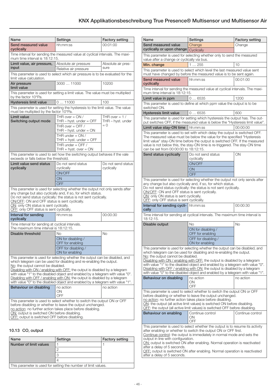<span id="page-21-0"></span>

| Name                                                                                                                                                                                                                                                                                                                                                                                                                                                                                                                           | Settings                                                                                                                                                                                                                    | <b>Factory setting</b>                        |  |
|--------------------------------------------------------------------------------------------------------------------------------------------------------------------------------------------------------------------------------------------------------------------------------------------------------------------------------------------------------------------------------------------------------------------------------------------------------------------------------------------------------------------------------|-----------------------------------------------------------------------------------------------------------------------------------------------------------------------------------------------------------------------------|-----------------------------------------------|--|
| Send measured value<br>cyclically                                                                                                                                                                                                                                                                                                                                                                                                                                                                                              | hh:mm:ss                                                                                                                                                                                                                    | 00:01:00                                      |  |
| Time interval for sending the measured value at cyclical intervals. The maxi-<br>mum time interval is 18:12:15.                                                                                                                                                                                                                                                                                                                                                                                                                |                                                                                                                                                                                                                             |                                               |  |
| Limit value, air pressure,<br>input                                                                                                                                                                                                                                                                                                                                                                                                                                                                                            | Absolute air pressure<br>Relative air pressure                                                                                                                                                                              | Absolute air pres-<br>sure                    |  |
| limit value calculation.                                                                                                                                                                                                                                                                                                                                                                                                                                                                                                       | This parameter is used to select which air pressure is to be evaluated for the                                                                                                                                              |                                               |  |
| Air pressure<br>limit value                                                                                                                                                                                                                                                                                                                                                                                                                                                                                                    | 3000  11000                                                                                                                                                                                                                 | 10200                                         |  |
| by the factor 10°Pa.                                                                                                                                                                                                                                                                                                                                                                                                                                                                                                           | This parameter is used for setting a limit value. The value must be multiplied                                                                                                                                              |                                               |  |
| <b>Hysteresis limit value</b>                                                                                                                                                                                                                                                                                                                                                                                                                                                                                                  | 011000                                                                                                                                                                                                                      | 100                                           |  |
| must be multiplied by the factor 10°Pa.                                                                                                                                                                                                                                                                                                                                                                                                                                                                                        | This parameter is used for setting the hysteresis to the limit value. The value                                                                                                                                             |                                               |  |
| Limit value<br>Switching output mode                                                                                                                                                                                                                                                                                                                                                                                                                                                                                           | THR over $= ON /$<br>THR $-$ hyst. under $=$ OFF<br>THR over $=$ OFF /<br>THR $-$ hyst. under $=$ ON<br>THR under $= ON /$<br>THR + hyst. under = $\text{OFF}$<br>THR under = $\overline{OFF}$ /<br>THR + hyst. over = $ON$ | THR over $= 1/$<br>THR – hyst. under<br>$= 0$ |  |
| This parameter is used to set how the switching output behaves if the vale<br>exceeds or falls below the threshold.                                                                                                                                                                                                                                                                                                                                                                                                            |                                                                                                                                                                                                                             |                                               |  |
| Limit value send status<br>cyclically                                                                                                                                                                                                                                                                                                                                                                                                                                                                                          | Do not send status<br>cyclically<br>ON/OFF<br>ON<br>OFF                                                                                                                                                                     | Do not send status<br>cyclically              |  |
| This parameter is used for selecting whether the output not only sends after<br>any change but also cyclically and, if so, for which status.<br>Do not send status cyclically: the status is not sent cyclically.<br>ON/OFF: ON and OFF status is sent cyclically.<br>ON: only ON status is sent cyclically.<br>OFF: only OFF status is sent cyclically.                                                                                                                                                                       |                                                                                                                                                                                                                             |                                               |  |
| Interval for sending<br>cyclically                                                                                                                                                                                                                                                                                                                                                                                                                                                                                             | hh:mm:ss                                                                                                                                                                                                                    | 00:00:30                                      |  |
| Time interval for sending at cyclical intervals.<br>The maximum time interval is 18:12:15.                                                                                                                                                                                                                                                                                                                                                                                                                                     |                                                                                                                                                                                                                             |                                               |  |
| Disable threshold                                                                                                                                                                                                                                                                                                                                                                                                                                                                                                              | Nο<br>ON for disabling /<br>OFF for enabling<br>OFF for disabling /<br>ON for enabling                                                                                                                                      | <b>No</b>                                     |  |
| This parameter is used for selecting whether the output can be disabled, and<br>which telegram can be used for disabling and re-enabling the output.<br>No: the output cannot be disabled.<br>Disabling with ON / enabling with OFF: the output is disabled by a telegram<br>with value "1" to the disabled object and enabled by a telegram with value "0".<br>Disabling with OFF / enabling with ON: the output is disabled by a telegram<br>with value "0" to the disabled object and enabled by a telegram with value "1". |                                                                                                                                                                                                                             |                                               |  |
| Behaviour on disabling                                                                                                                                                                                                                                                                                                                                                                                                                                                                                                         | no action<br>ΟN<br>OFF                                                                                                                                                                                                      | no action                                     |  |
| This parameter is used to select whether to switch the output ON or OFF<br>before disabling or whether to leave the output unchanged.<br>no action: no further action takes place before disabling.<br>ON: output is switched ON before disabling.<br>OFF: output is switched OFF before disabling.                                                                                                                                                                                                                            |                                                                                                                                                                                                                             |                                               |  |

# 10.13 CO₂ output

| Name                                                           | Settings | <b>Factory setting</b> |
|----------------------------------------------------------------|----------|------------------------|
| Number of limit values                                         |          |                        |
|                                                                |          |                        |
|                                                                |          |                        |
|                                                                |          |                        |
| This parameter is used for setting the number of limit values. |          |                        |

| Name                                                                                                                                                                                                                                                                                                                                                                                                                                                                                                                           | Settings                                                                                                                                                                                                                                                                    | <b>Factory setting</b> |  |  |
|--------------------------------------------------------------------------------------------------------------------------------------------------------------------------------------------------------------------------------------------------------------------------------------------------------------------------------------------------------------------------------------------------------------------------------------------------------------------------------------------------------------------------------|-----------------------------------------------------------------------------------------------------------------------------------------------------------------------------------------------------------------------------------------------------------------------------|------------------------|--|--|
| Send measured value<br>cyclically or upon change                                                                                                                                                                                                                                                                                                                                                                                                                                                                               | Change                                                                                                                                                                                                                                                                      | Change                 |  |  |
|                                                                                                                                                                                                                                                                                                                                                                                                                                                                                                                                | Cyclically                                                                                                                                                                                                                                                                  |                        |  |  |
| This parameter is used for selecting whether only to send the measured<br>value after a change or cyclically via bus.                                                                                                                                                                                                                                                                                                                                                                                                          |                                                                                                                                                                                                                                                                             |                        |  |  |
| Min. change                                                                                                                                                                                                                                                                                                                                                                                                                                                                                                                    | 1255                                                                                                                                                                                                                                                                        | 10                     |  |  |
| This parameter is used to select which level the last measured value sent<br>must have changed by before the measured value is to be sent again.                                                                                                                                                                                                                                                                                                                                                                               |                                                                                                                                                                                                                                                                             |                        |  |  |
| Send measured value<br>cyclically                                                                                                                                                                                                                                                                                                                                                                                                                                                                                              | hh:mm:ss                                                                                                                                                                                                                                                                    | 00:01:00               |  |  |
| mum time interval is 18:12:15.                                                                                                                                                                                                                                                                                                                                                                                                                                                                                                 | Time interval for sending the measured value at cyclical intervals. The maxi-                                                                                                                                                                                               |                        |  |  |
| Limit value in ppm                                                                                                                                                                                                                                                                                                                                                                                                                                                                                                             | 0  6535                                                                                                                                                                                                                                                                     | 1200                   |  |  |
| switched ON.                                                                                                                                                                                                                                                                                                                                                                                                                                                                                                                   | This parameter is used to define at which ppm value the output is to be                                                                                                                                                                                                     |                        |  |  |
| <b>Hysteresis limit value</b>                                                                                                                                                                                                                                                                                                                                                                                                                                                                                                  | 06535                                                                                                                                                                                                                                                                       | 600                    |  |  |
|                                                                                                                                                                                                                                                                                                                                                                                                                                                                                                                                | This parameter is used for setting which hysteresis the output has. The out-                                                                                                                                                                                                |                        |  |  |
|                                                                                                                                                                                                                                                                                                                                                                                                                                                                                                                                | put switches OFF, if the measured value is below the "Hysteresis limit value".                                                                                                                                                                                              |                        |  |  |
| Limit value stay-ON time                                                                                                                                                                                                                                                                                                                                                                                                                                                                                                       | hh:mm:ss <br>This parameter is used to set with which delay the output is switched OFF.                                                                                                                                                                                     | 00:00:00               |  |  |
| can be set from 00:00:00 to 18:12:15.<br>Send status cyclically                                                                                                                                                                                                                                                                                                                                                                                                                                                                | The measured value must be below the value for the specified "Hysteresis<br>limit value" stay-ON time before the output is switched OFF. If the measured<br>value is not below this, the stay-ON time is re-triggered. The stay-ON time<br>Do not send status<br>cyclically | ON                     |  |  |
|                                                                                                                                                                                                                                                                                                                                                                                                                                                                                                                                | ON/OFF<br>ON                                                                                                                                                                                                                                                                |                        |  |  |
|                                                                                                                                                                                                                                                                                                                                                                                                                                                                                                                                | OFF                                                                                                                                                                                                                                                                         |                        |  |  |
| any change but also cyclically and, if so, for which status.<br>Do not send status cyclically: the status is not sent cyclically.<br>ON/OFF: ON and OFF status is sent cyclically.<br>ON: only ON status is sent cyclically.<br>OFF: only OFF status is sent cyclically.                                                                                                                                                                                                                                                       |                                                                                                                                                                                                                                                                             |                        |  |  |
| Interval for sending cycli- hh:mm:ss<br>cally                                                                                                                                                                                                                                                                                                                                                                                                                                                                                  |                                                                                                                                                                                                                                                                             | 00:00:30               |  |  |
| 18:12:15.                                                                                                                                                                                                                                                                                                                                                                                                                                                                                                                      | Time interval for sending at cyclical intervals. The maximum time interval is                                                                                                                                                                                               |                        |  |  |
| Disable output                                                                                                                                                                                                                                                                                                                                                                                                                                                                                                                 | Nο                                                                                                                                                                                                                                                                          | <b>No</b>              |  |  |
|                                                                                                                                                                                                                                                                                                                                                                                                                                                                                                                                | ON for disabling /<br>OFF for enabling                                                                                                                                                                                                                                      |                        |  |  |
|                                                                                                                                                                                                                                                                                                                                                                                                                                                                                                                                | OFF for disabling /<br>ON for enabling                                                                                                                                                                                                                                      |                        |  |  |
| This parameter is used for selecting whether the output can be disabled, and<br>which telegram can be used for disabling and re-enabling the output.<br>No: the output cannot be disabled.<br>Disabling with ON / enabling with OFF: the output is disabled by a telegram<br>with value "1" to the disabled object and enabled by a telegram with value "0".<br>Disabling with OFF / enabling with ON: the output is disabled by a telegram<br>with value "0" to the disabled object and enabled by a telegram with value "1". |                                                                                                                                                                                                                                                                             |                        |  |  |
| Behaviour on disabling                                                                                                                                                                                                                                                                                                                                                                                                                                                                                                         | no action<br>ON<br>OFF                                                                                                                                                                                                                                                      | no action              |  |  |
| This parameter is used to select whether to switch the output ON or OFF<br>before disabling or whether to leave the output unchanged.<br>no action: no further action takes place before disabling.<br>ON: the output (all active limit values) is switched ON before disabling.<br>OFF: the output (all active limit values) is switched OFF before disabling.                                                                                                                                                                |                                                                                                                                                                                                                                                                             |                        |  |  |
| Behaviour on enabling                                                                                                                                                                                                                                                                                                                                                                                                                                                                                                          | Continue control<br>ON<br>OFF                                                                                                                                                                                                                                               | Continue control       |  |  |
| This parameter is used to select whether the output is to resume its activity<br>after enabling or whether to switch the output ON or OFF first.<br>Continue control: the output is immediately in normal mode and sets the<br>output in line with configuration.<br>ON: output is switched ON after enabling. Normal operation is reactivated<br>after a delay of 5 seconds.<br>OFF: output is switched ON after enabling. Normal operation is reactivated<br>after a delay of 5 seconds.                                     |                                                                                                                                                                                                                                                                             |                        |  |  |